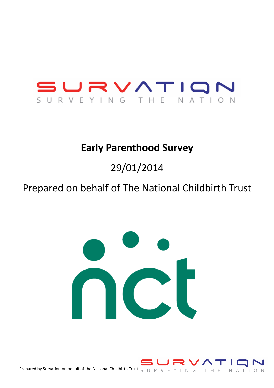

# **Early Parenthood Survey**

# 29/01/2014

# Prepared on behalf of The National Childbirth Trust



Prepared by Survation on behalf of the National Childbirth Trust  $S \cup R \vee E Y \cap N G$ T H E NATION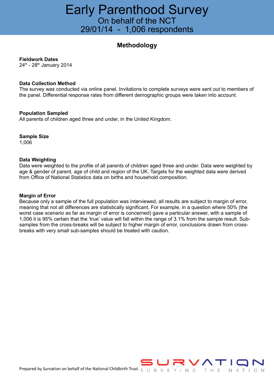### Early Parenthood Survey On behalf of the NCT 29/01/14 - 1,006 respondents

#### **Methodology**

#### **Fieldwork Dates**

24<sup>th</sup> - 28<sup>th</sup> January 2014

#### **Data Collection Method**

The survey was conducted via online panel. Invitations to complete surveys were sent out to members of the panel. Differential response rates from different demographic groups were taken into account.

#### **Population Sampled**

All parents of children aged three and under, in the United Kingdom.

**Sample Size**

1,006

#### **Data Weighting**

Data were weighted to the profile of all parents of children aged three and under. Data were weighted by age & gender of parent, age of child and region of the UK. Targets for the weighted data were derived from Office of National Statistics data on births and household composition.

#### **Margin of Error**

Because only a sample of the full population was interviewed, all results are subject to margin of error, meaning that not all differences are statistically significant. For example, in a question where 50% (the worst case scenario as far as margin of error is concerned) gave a particular answer, with a sample of 1,006 it is 95% certain that the 'true' value will fall within the range of 3.1% from the sample result. Subsamples from the cross-breaks will be subject to higher margin of error, conclusions drawn from crossbreaks with very small sub-samples should be treated with caution.

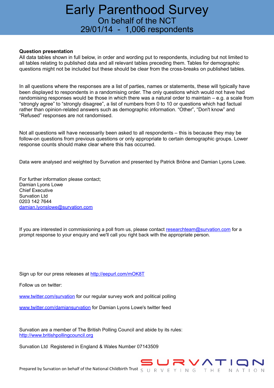## Early Parenthood Survey On behalf of the NCT 29/01/14 - 1,006 respondents

#### **Question presentation**

All data tables shown in full below, in order and wording put to respondents, including but not limited to all tables relating to published data and all relevant tables preceding them. Tables for demographic questions might not be included but these should be clear from the cross-breaks on published tables.

In all questions where the responses are a list of parties, names or statements, these will typically have been displayed to respondents in a randomising order. The only questions which would not have had randomising responses would be those in which there was a natural order to maintain – e.g. a scale from "strongly agree" to "strongly disagree", a list of numbers from 0 to 10 or questions which had factual rather than opinion-related answers such as demographic information. "Other", "Don't know" and "Refused" responses are not randomised.

Not all questions will have necessarily been asked to all respondents – this is because they may be follow-on questions from previous questions or only appropriate to certain demographic groups. Lower response counts should make clear where this has occurred.

Data were analysed and weighted by Survation and presented by Patrick Briône and Damian Lyons Lowe.

For further information please contact; Damian Lyons Lowe Chief Executive Survation Ltd 0203 142 7644 [damian.lyonslowe@survation.com](mailto:damian.lyonslowe@survation.com)

If you are interested in commissioning a poll from us, please contact [researchteam@survation.com](mailto:researchteam@survation.com) for a prompt response to your enquiry and we'll call you right back with the appropriate person.

Sign up for our press releases at<http://eepurl.com/mOK8T>

Follow us on twitter:

[www.twitter.com/survation](http://www.twitter.com/survation) for our regular survey work and political polling

[www.twitter.com/damiansurvation](http://www.twitter.com/damiansurvation) for Damian Lyons Lowe's twitter feed

Survation are a member of The British Polling Council and abide by its rules: [http://www.britishpollingcouncil.org](http://www.britishpollingcouncil.org/)

Survation Ltd Registered in England & Wales Number 07143509

# NATION

Prepared by Survation on behalf of the National Childbirth Trust  $S \cup R \vee E Y \cap N G$  T H E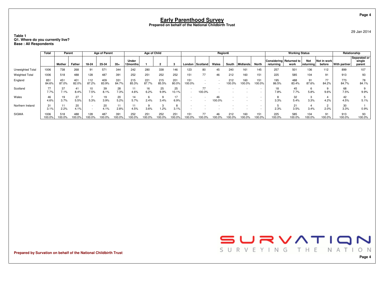#### **Table 1Q1. Where do you currently live? Base : All Respondents**

|                       | Total          | Parent       |              |               | <b>Age of Parent</b> |              |                   | Age of Child |              |              |               |              | Region6 |               |               |               |                                      | <b>Working Status</b> |                    |                       | Relationship  |                                  |
|-----------------------|----------------|--------------|--------------|---------------|----------------------|--------------|-------------------|--------------|--------------|--------------|---------------|--------------|---------|---------------|---------------|---------------|--------------------------------------|-----------------------|--------------------|-----------------------|---------------|----------------------------------|
|                       |                | Mother       | Father       | 18-24         | 25-34                | $35+$        | Under<br>12months |              |              |              | London        | ∣ Scotland ∣ | Wales   | South         | Midlands      | North         | Considering Returned to<br>returnina | work                  | Not<br>  returnina | Not in work<br>before | With partner  | Separated or<br>single<br>parent |
| Unweighted Total      | 1006           | 738          | 268          | 91            | 571                  | 344          | 242               | 280          | 338          | 146          | 123           | 80           | 45      | 240           | 161           | 145           | 257                                  | 501                   | 136                | 112                   | 899           | 107                              |
| <b>Weighted Total</b> | 1006           | 518          | 488          | 128           | 487                  | 391          | 252               | 251          | 252          | 252          | 151           | 77           | 46      | 212           | 160           | 151           | 225                                  | 585                   | 104                | 91                    | 913           | 93                               |
| England               | 851<br>84.6%   | 451<br>87.0% | 401<br>82.0% | 112<br>87.2%  | 409<br>83.9%         | 331<br>84.7% | 215<br>85.3%      | 221<br>87.7% | 215<br>85.5% | 201<br>80.0% | 151<br>100.0% |              |         | 212<br>100.0% | 160<br>100.0% | 151<br>100.0% | 195<br>86.5%                         | 488<br>83.4%          | 91<br>87.6%        | 77<br>84.2%           | 773<br>84.7%  | 78<br>84.1%                      |
| Scotland              | 77<br>7.7%     | 37<br>7.1%   | 41<br>8.4%   | 10<br>7.5%    | 39<br>8.1%           | 28<br>7.3%   | 11<br>4.6%        | 16<br>6.2%   | 25<br>9.9%   | 25<br>10.1%  |               | 100.0%       |         |               |               |               | 18<br>7.8%                           | 45<br>7.7%            | 6<br>5.8%          | 9.6%                  | 68<br>7.5%    | 9.9%                             |
| Wales                 | 4.6%           | 19<br>3.7%   | 27<br>5.5%   | 5.3%          | 19<br>3.9%           | 20<br>5.2%   | 14<br>5.7%        | 2.4%         | 3.4%         | 17<br>6.9%   |               |              | 100.0%  |               |               |               | 3.3%                                 | 32<br>5.4%            | 3<br>3.3%          | 4.2%                  | 42<br>4.5%    | 5.1%                             |
| Northern Ireland      | 31<br>3.1%     | 2.2%         | 20<br>4.1%   |               | 20<br>4.1%           | 11<br>2.8%   | 11<br>4.5%        | 3.6%         | 1.2%         | 8<br>3.1%    |               |              |         |               |               |               | 2.3%                                 | 21<br>3.5%            | 3.4%               | 2.0%                  | 30<br>3.3%    | 0.9%                             |
| <b>SIGMA</b>          | 1006<br>100.0% | 518<br>00.0% | 488<br>00.0% | 128<br>100.0% | 487<br>00.0%         | 391<br>00.0% | 252               | 251<br>00.0% | 252<br>00.0% | 251<br>00.0% | 151           | 77<br>100.0% | 46      | 212<br>100.0% | 160<br>100.0% | 151<br>100.0% | 225<br>100.0%                        | 585<br>100.0%         | 104<br>100.0%      | 91<br>100.0%          | 913<br>100.0% | 93<br>100.0%                     |

**Prepared by Survation on behalf of the National Childbirth Trust**



29 Jan 2014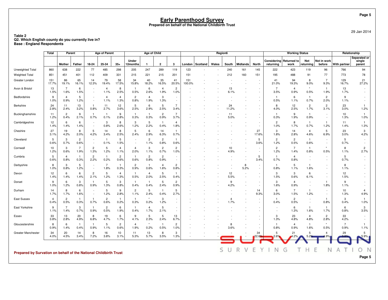**Table 2Q2. Which English county do you currently live in? Base : England Respondents**

|                                                                  | Total                  | Parent                 |                        |                          | <b>Age of Parent</b>   |                        |                          | Age of Child           |                        |                                    |               |                   | Region6 |                        |                  |                                    |                          | <b>Working Status</b>      |                                    |                        | Relationship           |                                  |
|------------------------------------------------------------------|------------------------|------------------------|------------------------|--------------------------|------------------------|------------------------|--------------------------|------------------------|------------------------|------------------------------------|---------------|-------------------|---------|------------------------|------------------|------------------------------------|--------------------------|----------------------------|------------------------------------|------------------------|------------------------|----------------------------------|
|                                                                  |                        | Mother                 | Father                 | 18-24                    | 25-34                  | $35+$                  | Under<br>12months        | -1                     | $\overline{2}$         | 3                                  |               | London   Scotland | Wales   | South                  | <b>Midlands</b>  | <b>North</b>                       | Considering<br>returning | <b>Returned to</b><br>work | Not<br>returning                   | Not in work<br>before  | With partner           | Separated or<br>single<br>parent |
| Unweighted Total                                                 | 860                    | 638                    | 222                    | 77                       | 485                    | 298                    | 205                      | 247                    | 289                    | 119                                | 123           |                   |         | 240                    | 161              | 145                                | 222                      | 423                        | 119                                | 96                     | 766                    | 94                               |
| <b>Weighted Total</b>                                            | 851                    | 451                    | 401                    | 112                      | 409                    | 331                    | 215                      | 221                    | 215                    | 201                                | 151           |                   |         | 212                    | 160              | 151                                | 195                      | 488                        | 91                                 | 77                     | 773                    | 78                               |
| Greater London                                                   | 151<br>17.7%           | 86<br>19.1%            | 65<br>16.1%            | 14<br>12.3%              | 79<br>19.4%            | 58<br>17.5%            | 34<br>15.8%              | 40<br>18.2%            | 35<br>16.5%            | 41<br>20.5%                        | 151<br>100.0% |                   |         |                        |                  | $\sim$                             | 41<br>21.0%              | 94<br>19.3%                | 8<br>9.0%                          | $\overline{7}$<br>9.3% | 129<br>16.7%           | 21<br>27.2%                      |
| Avon & Bristol                                                   | 13<br>1.5%             | $\overline{7}$<br>1.6% | 6<br>1.5%              | $\overline{\phantom{a}}$ | $\overline{4}$<br>1.1% | 8<br>2.5%              | $\mathbf{1}$<br>0.5%     | 6<br>2.6%              | $\overline{4}$<br>1.9% | $\overline{2}$<br>1.0%             |               |                   |         | 13<br>6.1%             |                  | $\sim$                             | 7<br>3.5%                | $\overline{4}$<br>0.9%     | $^\star$<br>0.5%                   | $\mathbf{1}$<br>1.9%   | 13<br>1.7%             | $\overline{\phantom{a}}$         |
| Bedfordshire                                                     | 9<br>1.0%              | $\overline{4}$<br>0.9% | 5<br>1.2%              |                          | $\overline{4}$<br>1.1% | 4<br>1.3%              | $\overline{2}$<br>0.8%   | $\overline{4}$<br>1.9% | 3<br>1.3%              |                                    |               |                   |         |                        |                  | $\overline{\phantom{a}}$           | -1<br>0.5%               | 6<br>1.1%                  | -1<br>0.7%                         | $\overline{c}$<br>2.0% | 9<br>1.1%              |                                  |
| Berkshire                                                        | 24<br>2.8%             | 11<br>2.4%             | 13<br>3.2%             | 0.8%                     | 11<br>2.7%             | 12<br>3.6%             | 5<br>2.5%                | 6<br>2.9%              | 5<br>2.5%              | $\overline{7}$<br>3.4%             |               |                   |         | 24<br>11.2%            |                  |                                    | 8<br>4.0%                | 12<br>2.5%                 | $\overline{2}$<br>1.7%             | $\overline{c}$<br>3.1% | 23<br>3.0%             | $\overline{1}$<br>1.2%           |
| Buckinghamshire                                                  | 11<br>1.2%             | $\overline{c}$<br>0.4% | 9<br>2.1%              | 0.7%                     | -1<br>0.1%             | 9<br>2.8%              | -1<br>0.3%               | -1<br>0.3%             | $\overline{c}$<br>0.9% | $\overline{7}$<br>3.7%             |               |                   |         | 11<br>5.0%             |                  | $\sim$                             | 0.3%                     | 9<br>1.9%                  | -1<br>0.9%                         |                        | 10<br>1.3%             | $\mathbf{1}$<br>1.0%             |
| Cambridgeshire                                                   | 12<br>1.4%             | 6<br>1.4%              | 6<br>1.4%              |                          | 3<br>0.8%              | 8<br>2.6%              | 3<br>1.2%                | 5<br>2.2%              | $\mathbf{1}$<br>0.4%   | $\overline{4}$<br>1.8%             |               |                   |         |                        |                  | $\overline{\phantom{a}}$           | $\overline{2}$<br>1.0%   | 8<br>1.7%                  | $\mathbf{1}$<br>0.7%               | $\mathbf{1}$<br>1.2%   | 11<br>1.4%             | $\mathbf{1}$<br>1.3%             |
| Cheshire                                                         | 27<br>3.1%             | 19<br>4.2%             | 8<br>2.0%              | 5<br>4.2%                | 14<br>3.4%             | 8<br>2.5%              | 5<br>2.4%                | 6<br>2.9%              | 14<br>6.3%             | -1<br>0.7%                         |               |                   |         |                        |                  | 27<br>17.6%                        | 3<br>1.8%                | 14<br>2.8%                 | $\overline{4}$<br>4.6%             | 5<br>6.9%              | 23<br>3.0%             | 3<br>4.2%                        |
| Cleveland                                                        | 5<br>0.6%              | 3<br>0.7%              | $\overline{2}$<br>0.6% | $\sim$                   | $\mathbf{1}$<br>0.1%   | 5<br>1.5%              | $\overline{\phantom{a}}$ | $\overline{2}$<br>1.1% | $\overline{c}$<br>0.8% | $\mathbf{1}$<br>0.6%               |               |                   |         |                        |                  | 5<br>3.6%                          | $\overline{2}$<br>1.2%   | $\overline{2}$<br>0.5%     | $\mathbf{1}$<br>0.6%               | $\sim$                 | 5<br>0.7%              |                                  |
| Cornwall                                                         | 10<br>1.2%             | 3<br>0.6%              | 7<br>1.9%              | 2<br>1.3%                | 5<br>1.2%              | $\overline{4}$<br>1.1% | $\overline{4}$<br>2.0%   | 3<br>1.1%              | $\overline{c}$<br>0.7% | $\overline{c}$<br>1.0%             |               |                   |         | 10<br>4.9%             | $\sim$           | $\sim$                             | $\overline{2}$<br>1.2%   | 7<br>1.4%                  | -1<br>0.8%                         | $\star$<br>0.5%        | 8<br>1.1%              | $\overline{2}$<br>2.7%           |
| Cumbria                                                          | 5<br>0.6%              | $\overline{4}$<br>0.8% | $\overline{1}$<br>0.3% | $\overline{2}$<br>2.2%   | $\overline{1}$<br>0.2% | $\overline{c}$<br>0.6% | $\mathbf{1}$<br>0.6%     | $\overline{c}$<br>0.8% | $\overline{c}$<br>0.9% | $\overline{\phantom{a}}$<br>$\sim$ |               |                   |         |                        |                  | 5<br>3.4%                          | -1<br>0.7%               | $\overline{4}$<br>0.8%     | $\sim$                             |                        | 5<br>0.7%              |                                  |
| Derbyshire                                                       | 8<br>1.0%              | 3<br>0.8%              | 5<br>1.2%              |                          | $\overline{7}$<br>1.8% | $\mathbf{1}$<br>0.3%   | $\overline{2}$<br>0.9%   | $\overline{1}$<br>0.6% | $\overline{4}$<br>1.6% | 2<br>0.8%                          |               |                   |         |                        | 8<br>5.2%        | $\overline{\phantom{a}}$<br>$\sim$ | -1<br>0.8%               | 5<br>1.1%                  | $\mathbf{1}$<br>1.6%               |                        | 8<br>1.1%              |                                  |
| Devon                                                            | 12<br>1.4%             | 6<br>1.4%              | 6<br>1.4%              | $\overline{2}$<br>2.1%   | 5<br>1.2%              | $\overline{4}$<br>1.3% | $\mathbf{1}$<br>0.5%     | $\overline{4}$<br>2.0% | 5<br>2.5%              | $\mathbf{1}$<br>0.4%               |               |                   |         | 12<br>5.5%             | $\sim$<br>$\sim$ | $\sim$<br>$\sim$                   | 3<br>1.5%                | 3<br>0.6%                  | 6<br>6.1%                          | $\sim$                 | 12<br>1.5%             |                                  |
| Dorset                                                           | 9<br>1.0%              | 6<br>1.2%              | 3<br>0.8%              | 0.9%                     | 5<br>1.3%              | 3<br>0.8%              | $\overline{1}$<br>0.4%   | $\overline{1}$<br>0.4% | 5<br>2.4%              | $\overline{2}$<br>0.9%             |               |                   |         | 9<br>4.2%              | $\sim$           | $\sim$                             | 3<br>1.6%                | $\overline{4}$<br>0.9%     | $\sim$                             | 1.8%                   | 9<br>1.1%              |                                  |
| Durham                                                           | 14<br>1.7%             | 8<br>1.7%              | 6<br>1.6%              | $\sim$                   | 5<br>1.2%              | 9<br>2.8%              | $\overline{c}$<br>1.1%   | 5<br>2.4%              | 0.4%                   | 5<br>2.7%                          |               |                   |         |                        | $\sim$           | 14<br>9.3%                         | 6<br>3.0%                | $\overline{7}$<br>1.5%     | $\mathbf{1}$<br>1.2%               | $\sim$                 | 10<br>1.3%             | $\overline{4}$<br>4.9%           |
| East Sussex                                                      | $\overline{4}$<br>0.4% | $\overline{2}$<br>0.5% | -1<br>0.3%             | 0.7%                     | $\overline{2}$<br>0.6% | $\mathbf{1}$<br>0.2%   | $\mathbf{1}$<br>0.3%     | 0.2%                   | 3<br>1.2%              |                                    |               |                   |         | $\overline{4}$<br>1.7% |                  | $\overline{\phantom{a}}$<br>$\sim$ | 0.4%                     | $\overline{2}$<br>0.5%     | $\overline{\phantom{a}}$<br>$\sim$ | -1<br>0.8%             | 3<br>0.4%              | $\mathbf{1}$<br>1.0%             |
| East Yorkshire                                                   | 9<br>1.1%              | $\overline{7}$<br>1.4% | 3<br>0.7%              | 0.9%                     | $\overline{2}$<br>0.5% | 6<br>1.9%              | $\overline{1}$<br>0.4%   | $\overline{4}$<br>1.7% | 5<br>2.1%              | $\sim$                             |               |                   |         |                        |                  |                                    |                          | 6<br>1.3%                  | $\mathbf{1}$<br>1.6%               | $\mathbf{1}$<br>1.7%   | 6<br>0.8%              | 3<br>3.5%                        |
| Essex                                                            | 33<br>3.8%             | 13<br>2.8%             | 20<br>4.9%             | 8<br>6.8%                | 19<br>4.7%             | 6<br>1.7%              | 9<br>4.1%                | 5<br>2.3%              | 5<br>2.4%              | 13<br>6.7%                         |               |                   |         |                        |                  |                                    | 3<br>1.3%                | 23<br>4.8%                 | $\overline{4}$<br>4.8%             | $\overline{2}$<br>2.8% | 33<br>4.2%             |                                  |
| Gloucestershire                                                  | 8<br>0.9%              | 6<br>1.4%              | 0.4%                   | 0.9%                     | 5<br>1.1%              | $\overline{c}$<br>0.6% | $\overline{4}$<br>1.9%   | $\star$<br>0.2%        | $\mathbf{1}$<br>0.5%   | $\overline{2}$<br>1.0%             |               |                   |         | 8<br>3.6%              |                  | $\overline{\phantom{a}}$           | 0.8%                     | $\overline{4}$<br>0.9%     | 1.6%                               | $\ddot{}$<br>0.5%      | $\overline{7}$<br>0.9% | 1.1%                             |
| <b>Greater Manchester</b>                                        | 34<br>4.0%             | 20<br>4.5%             | 14<br>3.4%             | 8<br>7.2%                | 16<br>3.8%             | 10<br>3.1%             | 11<br>5.3%               | 13<br>5.7%             | 8<br>3.5%              | 3<br>1.3%                          |               |                   |         |                        |                  | 34                                 | 5<br>2.6%                | 21                         | 5<br>5.29                          | $\overline{4}$         | 29                     | 5<br>5.9%                        |
| Prepared by Survation on behalf of the National Childbirth Trust |                        |                        |                        |                          |                        |                        |                          |                        |                        |                                    |               |                   | S       | U                      | R<br>V           | E<br>Υ                             | N                        | G                          |                                    | N                      |                        | N<br>O                           |
|                                                                  |                        |                        |                        |                          |                        |                        |                          |                        |                        |                                    |               |                   |         |                        |                  |                                    |                          |                            |                                    |                        |                        | Page 5                           |

**Page 5**

29 Jan 2014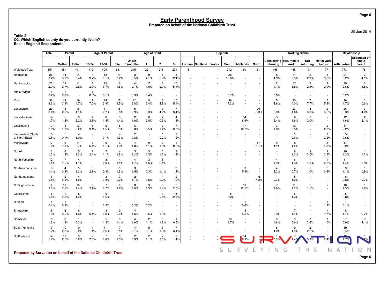#### **Table 2Q2. Which English county do you currently live in? Base : England Respondents**

|                                                                  | <b>Total</b>           | Parent                 |                                    |                          | <b>Age of Parent</b>   |                                                      |                        | Age of Child                       |                        |                        |     |                 |       | Region6     |                                 |                                                      |                          | <b>Working Status</b>  |                                    |                        | Relationship           |                                  |
|------------------------------------------------------------------|------------------------|------------------------|------------------------------------|--------------------------|------------------------|------------------------------------------------------|------------------------|------------------------------------|------------------------|------------------------|-----|-----------------|-------|-------------|---------------------------------|------------------------------------------------------|--------------------------|------------------------|------------------------------------|------------------------|------------------------|----------------------------------|
|                                                                  |                        | <b>Mother</b>          | Father                             | 18-24                    | 25-34                  | $35+$                                                | Under<br>12months      | 1                                  | $\overline{2}$         | 3                      |     | London Scotland | Wales | South       | <b>Midlands</b>                 | <b>North</b>                                         | Considering<br>returning | Returned to<br>work    | Not<br>returning                   | Not in work<br>before  | With partner           | Separated or<br>single<br>parent |
| <b>Weighted Total</b>                                            | 851                    | 451                    | 401                                | 112                      | 409                    | 331                                                  | 215                    | 221                                | 215                    | 201                    | 151 |                 |       | 212         | 160                             | 151                                                  | 195                      | 488                    | 91                                 | 77                     | 773                    | 78                               |
| Hampshire                                                        | 28<br>3.2%             | 14<br>3.1%             | 14<br>3.4%                         | $\overline{4}$<br>3.7%   | 13<br>3.1%             | 11<br>3.2%                                           | 8<br>3.5%              | 9<br>4.1%                          | 6<br>2.9%              | 5<br>2.4%              |     |                 |       | 28<br>13.0% | $\overline{\phantom{a}}$        | ÷,                                                   | 8<br>4.3%                | 14<br>2.9%             | $\overline{2}$<br>2.3%             | 3<br>3.6%              | 24<br>3.2%             | 3<br>4.1%                        |
| Hertfordshire                                                    | 23<br>2.7%             | 12<br>2.7%             | 11<br>2.8%                         | $\overline{c}$<br>2.0%   | 15<br>3.7%             | 6<br>1.8%                                            | $\overline{4}$<br>2.1% | $\overline{c}$<br>1.0%             | 6<br>2.9%              | 10<br>5.1%             |     |                 |       |             |                                 | $\overline{\phantom{a}}$                             | $\overline{2}$<br>1.1%   | 17<br>3.5%             | $\overline{c}$<br>2.6%             | $\overline{2}$<br>2.0% | 20<br>2.6%             | 3<br>3.5%                        |
| Isle of Wight                                                    | $\overline{1}$<br>0.2% | -1<br>0.3%             | $\sim$                             | -1<br>0.8%               | - 1<br>0.1%            | $\sim$<br>$\overline{\phantom{a}}$                   | -1<br>0.3%             | -1<br>0.4%                         |                        |                        |     |                 |       | -1<br>0.7%  |                                 | ÷.                                                   | -1<br>0.8%               |                        | $\overline{\phantom{a}}$           |                        | -1<br>0.2%             |                                  |
| Kent                                                             | 36<br>4.3%             | 18<br>3.9%             | 19<br>4.7%                         | 8<br>7.0%                | 14<br>3.4%             | 15<br>4.5%                                           | 12<br>5.8%             | 8<br>3.4%                          | 6<br>2.8%              | 10<br>5.1%             |     |                 |       | 36<br>17.2% | $\overline{\phantom{a}}$        | $\sim$                                               | 5<br>2.6%                | 20<br>4.0%             | $\overline{7}$<br>7.7%             | 5<br>5.9%              | 36<br>4.7%             | $\star$<br>0.6%                  |
| Lancashire                                                       | 29<br>3.4%             | 13<br>2.8%             | 16<br>4.1%                         |                          | 11<br>2.7%             | 18<br>5.5%                                           | 6<br>2.9%              | $\overline{7}$<br>3.3%             | 9<br>4.2%              | $\overline{7}$<br>3.4% |     |                 |       |             | $\overline{\phantom{a}}$        | 29<br>19.3%                                          | $\mathbf{1}$<br>0.3%     | 23<br>4.8%             | 3<br>3.0%                          | $\overline{2}$<br>3.2% | 26<br>3.3%             | 3<br>4.0%                        |
| Leicestershire                                                   | 14<br>1.7%             | 5<br>1.2%              | 9<br>2.2%                          | $\overline{4}$<br>3.5%   | 6<br>1.4%              | 5<br>1.4%                                            | $\overline{2}$<br>1.0% | 6<br>2.8%                          | $\overline{2}$<br>0.9% | $\overline{4}$<br>1.8% |     |                 |       |             | 14<br>8.9%                      | $\overline{\phantom{a}}$<br>$\overline{\phantom{a}}$ | 5<br>2.4%                | 8<br>1.6%              | $\mathbf{2}$<br>2.0%               |                        | 12<br>1.6%             | $\overline{c}$<br>2.1%           |
| Lincolnshire                                                     | 17<br>2.0%             | 4<br>1.0%              | 13<br>3.2%                         | 3<br>3.1%                | 6<br>1.5%              | 8<br>2.3%                                            | 6<br>3.0%              | - 1<br>0.5%                        | 3<br>1.4%              | $\overline{7}$<br>3.3% |     |                 |       |             | 17<br>10.7%                     | ٠<br>$\overline{\phantom{a}}$                        | 3<br>1.6%                | 12<br>2.5%             | $\sim$                             | $\overline{2}$<br>2.3% | 17<br>2.2%             |                                  |
| Lincolnshire (North<br>or North-East)                            | 5<br>0.5%              | 0.1%                   | $\overline{4}$<br>1.0%             | $\overline{\phantom{a}}$ | 0.1%                   | $\overline{4}$<br>1.3%                               | $\overline{2}$<br>0.8% | $\sim$<br>$\overline{\phantom{a}}$ | 0.2%                   | 3<br>1.2%              |     |                 |       |             |                                 | ٠                                                    |                          | 3<br>0.6%              | $\sim$                             | $\overline{2}$<br>2.2% | 5<br>0.6%              |                                  |
| Merseyside                                                       | 17<br>2.0%             | 6<br>1.3%              | 11<br>2.7%                         | 6<br>5.1%                | 5<br>1.1%              | 6<br>1.9%                                            | $\overline{4}$<br>1.8% | 9<br>4.1%                          | 3<br>1.2%              | $\mathbf{1}$<br>0.6%   |     |                 |       |             |                                 | 17<br>11.1%                                          | 9<br>4.4%                | 5<br>1.0%              | $\sim$                             | 3<br>4.3%              | 17<br>2.2%             |                                  |
| Norfolk                                                          | 11<br>1.3%             | 6<br>1.4%              | 5<br>1.2%                          | $\overline{c}$<br>2.1%   | 5<br>1.1%              | 4<br>1.2%                                            | 3<br>1.2%              | 3<br>1.3%                          | 3<br>1.2%              | 3<br>1.4%              |     |                 |       |             |                                 | $\overline{\phantom{a}}$<br>٠                        |                          | 6<br>1.3%              | 3<br>3.0%                          | $\overline{2}$<br>2.6% | 10<br>1.3%             | $\mathbf{1}$<br>1.3%             |
| North Yorkshire                                                  | 12<br>1.4%             | 7<br>1.6%              | $\overline{4}$<br>1.1%             | $\overline{\phantom{a}}$ | 8<br>2.0%              | $\overline{4}$<br>1.1%                               | 4<br>1.7%              | 3<br>1.6%                          | 5<br>2.1%              | $\sim$                 |     |                 |       |             |                                 | ٠                                                    | $\overline{4}$<br>1.9%   | 6<br>1.3%              | -1<br>1.3%                         | -1<br>0.8%             | 11<br>1.4%             | $\overline{1}$<br>0.8%           |
| Northamptonshire                                                 | 9<br>1.1%              | 4<br>0.9%              | 5<br>1.3%                          | 3<br>2.9%                | -1<br>0.3%             | $5\phantom{.0}$<br>1.5%                              | 3<br>1.5%              | $\overline{1}$<br>0.3%             | 3<br>1.4%              | 3<br>1.3%              |     |                 |       |             | 9<br>5.9%                       | $\overline{\phantom{a}}$<br>$\overline{\phantom{a}}$ | $\overline{4}$<br>2.3%   | 4<br>0.7%              | -1<br>1.0%                         | 0.6%                   | 9<br>1.1%              | $\overline{1}$<br>0.9%           |
| Northumberland                                                   | 6<br>0.8%              | 2<br>0.5%              | $\overline{4}$<br>1.0%             | $\overline{\phantom{a}}$ | 3<br>0.8%              | 3<br>0.9%                                            | $\overline{c}$<br>1.1% | $\overline{1}$<br>0.5%             | $\star$<br>0.2%        | $\overline{c}$<br>1.2% |     |                 |       |             |                                 | 6<br>4.2%                                            | $\mathbf{1}$<br>0.7%     | 5<br>1.0%              | $\overline{\phantom{a}}$<br>$\sim$ |                        | 6<br>0.8%              | $\overline{1}$<br>0.7%           |
| Nottinghamshire                                                  | 19<br>2.3%             | 10<br>2.1%             | 10<br>2.4%                         | -3<br>2.9%               | $\overline{7}$<br>1.7% | 9<br>2.7%                                            | 8<br>3.8%              | 3<br>1.5%                          | 3<br>1.4%              | 5<br>2.5%              |     |                 |       |             | 19<br>12.1%                     | $\sim$<br>$\overline{\phantom{a}}$                   | $\overline{7}$<br>3.6%   | 11<br>2.3%             | $\mathbf{1}$<br>1.1%               |                        | 18<br>2.3%             | $\overline{1}$<br>1.6%           |
| Oxfordshire                                                      | 6<br>0.8%              | 0.3%                   | 5<br>1.3%                          |                          | 6<br>1.6%              | $\overline{\phantom{a}}$<br>$\overline{\phantom{a}}$ |                        | $\overline{\phantom{a}}$           | $\overline{1}$<br>0.6% | 5<br>2.5%              |     |                 |       | 6<br>3.0%   | $\overline{\phantom{a}}$        | ÷,<br>$\overline{\phantom{a}}$                       |                          | 6<br>1.3%              | $\overline{\phantom{a}}$           |                        | 6<br>0.8%              | $\bar{a}$                        |
| Rutland                                                          | $\overline{1}$<br>0.1% | 0.2%                   | $\overline{\phantom{a}}$<br>$\sim$ |                          | $\overline{1}$<br>0.2% | $\overline{\phantom{a}}$<br>$\overline{\phantom{a}}$ | 0.2%                   | $\star$<br>0.2%                    |                        |                        |     |                 |       |             | $\overline{\mathbf{1}}$<br>0.6% | ٠<br>$\sim$                                          |                          |                        | $\sim$                             | -1<br>1.2%             | $\mathbf{1}$<br>0.1%   |                                  |
| Shropshire                                                       | 9<br>1.0%              | $\overline{2}$<br>0.5% | 6<br>1.6%                          | $\overline{4}$<br>3.1%   | 3<br>0.8%              | $\overline{2}$<br>0.6%                               | $\overline{4}$<br>1.6% | $\overline{1}$<br>0.6%             | 4<br>1.8%              |                        |     |                 |       |             | 9<br>5.5%                       | $\blacksquare$<br>$\overline{\phantom{a}}$           | -1<br>0.3%               | $\overline{7}$<br>1.4% | $\blacksquare$                     | $\overline{1}$<br>1.7% | 8<br>1.1%              | $\overline{1}$<br>0.7%           |
| Somerset                                                         | 10<br>1.2%             | 9<br>1.9%              | $\mathbf{1}$<br>0.3%               |                          | 5<br>1.3%              | 5<br>1.4%                                            | $\overline{4}$<br>1.9% | $\overline{2}$<br>1.1%             | 3<br>1.2%              | $\mathbf{1}$<br>0.5%   |     |                 |       | 10<br>4.7%  | $\overline{\phantom{a}}$        | ٠                                                    | 3<br>1.6%                | 3<br>0.6%              | 3<br>3.6%                          | $\overline{1}$<br>1.0% | $\overline{7}$<br>0.9% | 3<br>4.1%                        |
| South Yorkshire                                                  | 19<br>2.2%             | 10<br>2.3%             | 9<br>2.2%                          | $\mathbf{1}$<br>1.1%     | 11<br>2.6%             | $\overline{7}$<br>2.1%                               | $\overline{4}$<br>2.1% | 5<br>2.1%                          | 3<br>1.3%              | $\overline{7}$<br>3.4% |     |                 |       |             |                                 |                                                      | 8<br>4.0%                | 9<br>1.9%              | $\mathbf{2}$<br>2.2%               |                        | 19<br>2.4%             |                                  |
| Staffordshire                                                    | 14<br>1.7%             | 11<br>2.5%             | 3<br>0.8%                          | $\overline{2}$<br>2.0%   | $\overline{7}$<br>1.8% | 5<br>1.5%                                            | $\overline{2}$<br>0.9% | $\overline{2}$<br>1.1%             | $\overline{7}$<br>3.3% | 3<br>1.4%              |     |                 |       |             | 14<br>8.9%                      |                                                      | 0.3%                     |                        | 5.3%                               | 2.4%                   | 1.7%                   | 2%                               |
| Prepared by Survation on behalf of the National Childbirth Trust |                        |                        |                                    |                          |                        |                                                      |                        |                                    |                        |                        |     |                 |       | S<br>U      | R<br>V                          | Ε<br>Υ                                               | N                        | G                      |                                    | E<br>Ν                 | Д                      | $\sqrt{ }$                       |
|                                                                  |                        |                        |                                    |                          |                        |                                                      |                        |                                    |                        |                        |     |                 |       |             |                                 |                                                      |                          |                        |                                    |                        |                        | Page 6                           |

29 Jan 2014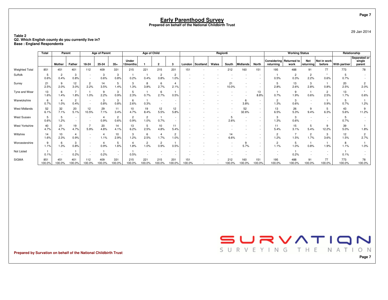**Table 2Q2. Which English county do you currently live in? Base : England Respondents**

|                       | <b>Total</b>  | Parent                 |                        |                                                      | <b>Age of Parent</b>   |                          |                        | Age of Child           |                        |                          |               |          | Region6 |               |                 |                                                      |                                      | <b>Working Status</b>  |                        |                        | Relationship        |                                  |
|-----------------------|---------------|------------------------|------------------------|------------------------------------------------------|------------------------|--------------------------|------------------------|------------------------|------------------------|--------------------------|---------------|----------|---------|---------------|-----------------|------------------------------------------------------|--------------------------------------|------------------------|------------------------|------------------------|---------------------|----------------------------------|
|                       |               | <b>Mother</b>          | Father                 | 18-24                                                | 25-34                  | $35+$                    | Under<br>12months      |                        | $\overline{2}$         | 3                        | London        | Scotland | Wales   | South         | <b>Midlands</b> | <b>North</b>                                         | Considering Returned to<br>returnina | work                   | Not<br>returning       | Not in work<br>before  | <b>With partner</b> | Separated or<br>single<br>parent |
| <b>Weighted Total</b> | 851           | 451                    | 401                    | 112                                                  | 409                    | 331                      | 215                    | 221                    | 215                    | 201                      | 151           |          |         | 212           | 160             | 151                                                  | 195                                  | 488                    | 91                     | 77                     | 773                 | 78                               |
| Suffolk               | 5<br>0.6%     | $\overline{c}$<br>0.4% | 3<br>0.8%              | $\overline{\phantom{a}}$<br>$\overline{\phantom{a}}$ | 3<br>0.6%              | 3<br>0.8%                | 0.2%                   | 0.4%                   | $\overline{2}$<br>0.8% | $\overline{2}$<br>1.0%   |               |          |         |               |                 | $\overline{\phantom{a}}$                             | 0.5%                                 | $\overline{2}$<br>0.3% | $\overline{c}$<br>2.2% | 0.6%                   | 5<br>0.7%           |                                  |
| Surrey                | 21<br>2.5%    | 9<br>2.0%              | 12<br>3.0%             | 2<br>2.2%                                            | 14<br>3.5%             | 5<br>1.4%                | 3<br>1.3%              | 8<br>3.8%              | ĥ<br>2.7%              | 4<br>2.1%                |               |          |         | 21<br>10.0%   |                 | $\overline{\phantom{a}}$                             | 5<br>2.8%                            | 13<br>2.6%             | 3<br>2.8%              | 0.8%                   | 20<br>2.5%          | $\overline{2}$<br>2.0%           |
| Tyne and Wear         | 13<br>1.6%    | 6<br>1.4%              | 1.8%                   | 1.0%                                                 | 9<br>2.2%              | 3<br>0.9%                | 5<br>2.3%              | 0.7%                   | 6<br>2.7%              | 0.5%                     |               |          |         |               |                 | 13<br>8.8%                                           | 0.7%                                 | 9<br>1.9%              | 0.6%                   | $\overline{2}$<br>2.5% | 13<br>1.7%          | 0.6%                             |
| Warwickshire          | 6<br>0.7%     | 1.0%                   | $\overline{c}$<br>0.4% | $\overline{\phantom{a}}$<br>$\overline{\phantom{a}}$ | 3<br>0.8%              | 3<br>0.8%                | 6<br>2.6%              | 1<br>0.3%              |                        |                          |               |          |         |               | 6<br>3.8%       | $\overline{\phantom{a}}$<br>$\overline{\phantom{a}}$ | $\overline{2}$<br>1.3%               | 3<br>0.6%              | $\sim$<br>$\sim$       | 0.9%                   | 5<br>0.7%           | 1.2%                             |
| <b>West Midlands</b>  | 52<br>6.1%    | 32<br>7.1%             | 20<br>5.1%             | 12<br>10.5%                                          | 29<br>7.1%             | 11<br>3.4%               | 10<br>4.7%             | 19<br>8.4%             | 12<br>5.5%             | 12<br>5.8%               |               |          |         |               | 52<br>32.6%     | $\overline{\phantom{a}}$                             | 13<br>6.5%                           | 26<br>5.3%             | 9<br>9.4%              | 5<br>6.3%              | 43<br>5.6%          | 9<br>11.2%                       |
| <b>West Sussex</b>    | 5<br>0.6%     | 5<br>1.2%              | $\sim$<br>$\sim$       | $\overline{\phantom{a}}$                             | 4<br>0.9%              | $\overline{2}$<br>0.6%   | $\overline{2}$<br>0.9% | $\overline{2}$<br>1.0% | 0.7%                   | $\overline{\phantom{a}}$ |               |          |         | 2.6%          |                 | $\overline{\phantom{a}}$                             | 3<br>1.3%                            | 3<br>0.6%              | $\sim$                 | $\sim$                 | 5<br>0.7%           |                                  |
| West Yorkshire        | 40<br>4.7%    | 21<br>4.7%             | 19<br>4.7%             | $\overline{7}$<br>5.9%                               | 20<br>4.8%             | 14<br>4.1%               | 13<br>6.2%             | 5<br>2.5%              | 10<br>4.8%             | 11<br>5.4%               |               |          |         |               |                 | $\overline{\phantom{a}}$                             | 11<br>5.4%                           | 15<br>3.1%             | 5<br>5.4%              | 9<br>12.2%             | 39<br>5.0%          | 1.8%                             |
| Wiltshire             | 14<br>1.6%    | 10<br>2.3%             | 4<br>0.9%              | $\overline{\phantom{a}}$                             | $\overline{4}$<br>1.1% | 10<br>2.9%               | 3<br>1.2%              | 6<br>2.5%              | 1.7%                   | $\overline{2}$<br>1.0%   |               |          |         | 14<br>6.6%    |                 | $\overline{\phantom{a}}$<br>$\overline{\phantom{a}}$ | $\overline{2}$<br>1.2%               | 1.5%                   | $\overline{c}$<br>1.7% | 3<br>3.6%              | 12<br>1.5%          | $\overline{2}$<br>2.7%           |
| Worcestershire        | 9<br>1.1%     | 6<br>1.3%              | 3<br>0.8%              | $\overline{\phantom{a}}$<br>$\overline{\phantom{a}}$ | Δ<br>0.9%              | 5<br>1.6%                | 1.8%                   | $\overline{2}$<br>1.0% | $\overline{2}$<br>0.9% | 0.5%                     |               |          |         |               | 9<br>5.7%       | $\overline{\phantom{a}}$                             | $\overline{2}$<br>1.1%               | 5<br>1.0%              | 0.8%                   | 1.9%                   | 8<br>1.1%           | 1.0%                             |
| Not Listed            | 0.1%          |                        | 0.2%                   |                                                      | 0.2%                   | $\overline{\phantom{a}}$ | 0.5%                   |                        |                        |                          |               |          |         |               |                 |                                                      |                                      | 0.2%                   |                        | $\sim$                 | 0.1%                |                                  |
| <b>SIGMA</b>          | 851<br>100.0% | 451<br>100.0%          | 401<br>100.0%          | 112<br>100.0%                                        | 409<br>100.0%          | 331<br>100.0%            | 215<br>100.0%          | 221<br>100.0%          | 215<br>100.0%          | 201<br>100.0%            | 151<br>100.0% |          |         | 212<br>100.0% | 160<br>100.0%   | 151<br>100.0%                                        | 195<br>100.0%                        | 488<br>100.0%          | 91<br>100.0%           | 77<br>100.0%           | 773<br>100.0%       | 78<br>100.0%                     |

**Prepared by Survation on behalf of the National Childbirth Trust**

SURVATION SURVEYING THE NATION

29 Jan 2014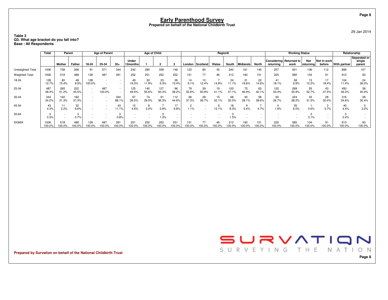#### **Table 3Q3. What age bracket do you fall into? Base : All Respondents**

|                       | Total          | Parent        |              |               | <b>Age of Parent</b> |                                                      |                   | Age of Child |               |                          |               |              | Region6      |               |               |              |                                      | <b>Working Status</b> |                  |                       |                     | Relationship                     |
|-----------------------|----------------|---------------|--------------|---------------|----------------------|------------------------------------------------------|-------------------|--------------|---------------|--------------------------|---------------|--------------|--------------|---------------|---------------|--------------|--------------------------------------|-----------------------|------------------|-----------------------|---------------------|----------------------------------|
|                       |                | Mother        | Father       | 18-24         | 25-34                | $35+$                                                | Under<br>12months |              |               |                          | London        | Scotland     | Wales        | South         | Midlands      | North        | Considering Returned to<br>returnina | work                  | Not<br>returning | Not in work<br>before | <b>With partner</b> | Separated or<br>single<br>parent |
| Unweighted Total      | 1006           | 738           | 268          | 91            | 571                  | 344                                                  | 242               | 280          | 338           | 146                      | 123           | 80           | 45           | 240           | 161           | 145          | 257                                  | 501                   | 136              | 112                   | 899                 | 107                              |
| <b>Weighted Total</b> | 1006           | 518           | 488          | 128           | 487                  | 391                                                  | 252               | 251          | 252           | 252                      | 151           | 77           | 46           | 212           | 160           | 151          | 225                                  | 585                   | 104              | 91                    | 913                 | 93                               |
| 18-24                 | 128<br>12.7%   | 80<br>15.4%   | 48<br>9.9%   | 128<br>100.0% |                      | $\overline{\phantom{a}}$<br>$\overline{\phantom{a}}$ | 49<br>19.3%       | 30<br>11.9%  | 23<br>9.3%    | 26<br>10.4%              | 14<br>9.1%    | 10<br>12.4%  | 14.8%        | 24<br>11.1%   | 31<br>19.6%   | 22<br>14.6%  | 41<br>18.1%                          | 58<br>9.9%            | 13<br>12.2%      | 17<br>18.4%           | 104<br>11.4%        | 24<br>26.0%                      |
| 25-34                 | 487<br>48.4%   | 265<br>51.2%  | 222<br>45.5% |               | 487<br>100.0%        | $\sim$<br>$\sim$                                     | 125<br>49.5%      | 140<br>55.6% | 127<br>50.4%  | 96<br>38.2%              | 79<br>52.6%   | 39<br>50.9%  | 19<br>41.1%  | 100<br>47.1%  | 75<br>46.9%   | 63<br>42.1%  | 120<br>53.4%                         | 269<br>45.9%          | 55<br>52.7%      | 43<br>47.5%           | 450<br>49.3%        | 38<br>40.4%                      |
| 35-44                 | 344<br>34.2%   | 162<br>31.3%  | 182<br>37.3% |               |                      | 344<br>88.1%                                         | 67<br>26.5%       | 74<br>29.5%  | 91<br>36.3%   | 112<br>44.6%             | 56<br>37.3%   | 28<br>36.7%  | 15<br>32.1%  | 68<br>32.0%   | 45<br>28.1%   | 58<br>38.6%  | 60<br>26.7%                          | 224<br>38.2%          | 33<br>31.3%      | 28<br>30.4%           | 316<br>34.6%        | 28<br>30.4%                      |
| 45-54                 | 43<br>4.3%     | 11<br>2.2%    | 32<br>6.6%   |               |                      | 43<br>11.1%                                          | 12<br>4.6%        | 8<br>3.0%    | 2.8%          | 17<br>6.8%               | 1.1%          |              | 12.1%        | 18<br>8.3%    | 5.4%          | 4.7%         | 1.9%                                 | 35<br>6.0%            | 0.6%             | ر ک<br>3.7%           | 40<br>4.4%          | 3.2%                             |
| 55-64                 | 0.3%           |               | 0.7%         |               |                      | 3<br>0.8%                                            |                   |              | 1.3%          | $\overline{\phantom{a}}$ |               |              |              | 1.5%          |               |              |                                      |                       | 3.1%             | ۰.                    | 0.4%                |                                  |
| <b>SIGMA</b>          | 1006<br>100.0% | 518<br>100.0% | 488<br>00.0% | 128<br>00.0%  | 487<br>100.0%        | 391<br>00.0%                                         | 251<br>100.0%     | 252<br>00.0% | 252<br>100.0% | 251<br>$100.0\%$         | 151<br>100.0% | 77<br>100.0% | 46<br>100.0% | 212<br>100.0% | 160<br>100.0% | 151<br>00.0% | 225<br>100.0%                        | 585<br>100.0%         | 104<br>100.0%    | 91<br>100.0%          | 913<br>100.0%       | 93<br>100.0%                     |

**Prepared by Survation on behalf of the National Childbirth Trust**



**Page 8**

29 Jan 2014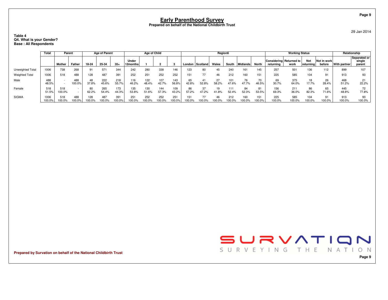#### **Table 4Q4. What is your Gender? Base : All Respondents**

|                       | Total          | Parent        |               |               | <b>Age of Parent</b> |               |                   | Age of Child |              |               |             |              | Region6     |               |              |              |                                      | <b>Working Status</b> |                          |                       |                     | Relationship                     |
|-----------------------|----------------|---------------|---------------|---------------|----------------------|---------------|-------------------|--------------|--------------|---------------|-------------|--------------|-------------|---------------|--------------|--------------|--------------------------------------|-----------------------|--------------------------|-----------------------|---------------------|----------------------------------|
|                       |                | Mother        | <b>Father</b> | 18-24         | 25-34                | $35+$         | Under<br>12months |              |              |               | London      | Scotland     | Wales       | South         | Midlands     | North        | Considering Returned to<br>returnina | work                  | <b>Not</b><br>∣returnina | Not in work<br>before | <b>With partner</b> | Separated or<br>single<br>parent |
| Unweighted Total      | 1006           | 738           | 268           | 91            | 571                  | 344           | 242               | 280          | 338          | 146           | 23          | 80           | 45          | 240           | 161          | 145          | 257                                  | 501                   | 136                      | 112                   | 899                 | 107                              |
| <b>Weighted Total</b> | 1006           | 518           | 488           | 128           | 487                  | 391           | 252               | 251          | 252          | 252           | 151         | 77           | 46          | 212           | 160          | 151          | 225                                  | 585                   | 104                      | 91                    | 913                 | 93                               |
| Male                  | 488<br>48.5%   |               | 488<br>100.0% | 48<br>37.8%   | 222<br>45.6%         | 218<br>55.7%  | 116<br>46.2%      | 122<br>48.4% | 107<br>42.7% | 143<br>56.8%  | 65<br>42.8% | 52.8%        | 27<br>58.2% | 101<br>47.6%  | 76<br>47.7%  | 70<br>46.5%  | 69<br>30.7%                          | 375<br>64.0%          | 18<br>17.7%              | 26<br>28.4%           | 468<br>51.2%        | 21<br>22.2%                      |
| Female                | 518<br>51.5%   | 518<br>100.0% |               | 80<br>62.2%   | 265<br>54.4%         | 173<br>44.3%  | 135<br>53.8%      | 130<br>51.6% | 144<br>57.3% | 109<br>43.2%  | 57.2%       | 37<br>47.2%  | 19<br>41.8% | 111<br>52.4%  | 84<br>52.3%  | 81<br>53.5%  | 69.3%                                | 211<br>36.0%          | 86<br>82.3%              | 65<br>71.6%           | 445<br>48.8%        | 72<br>77.8%                      |
| <b>SIGMA</b>          | 1006<br>100.0% | 518<br>100.0% | 488<br>00.0%  | 128<br>100.0% | 487<br>00.0%         | 391<br>100.0% | 251<br>00.0%      | 252<br>00.0% | 252<br>00.0% | 251<br>100.0% |             | 77<br>100.0% | 100.0%      | 212<br>100.0% | 160<br>00.0% | 151<br>00.0% | 225<br>100.0%                        | 585<br>100.0%         | 104<br>100.0%            | 91<br>100.0%          | 913<br>100.0%       | 93<br>100.0%                     |

**Prepared by Survation on behalf of the National Childbirth Trust**



**Page 9**

29 Jan 2014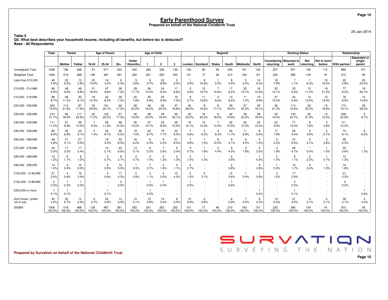29 Jan 2014

**Table 5 Q5. What best describes your household income, including all benefits, but before tax is deducted?Base : All Respondents**

|                                   | Total                  | Parent                 |                        |                                    | <b>Age of Parent</b> |                        |                                    | Age of Child           |                                |                                    |                          |                        | Region6                 |                        |               |                        |                          | <b>Working Status</b>   |                          |                        | Relationship           |                                  |
|-----------------------------------|------------------------|------------------------|------------------------|------------------------------------|----------------------|------------------------|------------------------------------|------------------------|--------------------------------|------------------------------------|--------------------------|------------------------|-------------------------|------------------------|---------------|------------------------|--------------------------|-------------------------|--------------------------|------------------------|------------------------|----------------------------------|
|                                   |                        | <b>Mother</b>          | Father                 | 18-24                              | 25-34                | $35+$                  | Under<br>12months                  | $\mathbf{1}$           | $\overline{2}$                 | 3                                  | London                   | Scotland               | Wales                   | South                  | Midlands      | North                  | Considering<br>returning | Returned to<br>work     | Not<br>returning         | Not in work<br>before  | <b>With partner</b>    | Separated or<br>single<br>parent |
| Unweighted Total                  | 1006                   | 738                    | 268                    | 91                                 | 571                  | 344                    | 242                                | 280                    | 338                            | 146                                | 123                      | 80                     | 45                      | 240                    | 161           | 145                    | 257                      | 501                     | 136                      | 112                    | 899                    | 107                              |
| <b>Weighted Total</b>             | 1006                   | 518                    | 488                    | 128                                | 487                  | 391                    | 252                                | 251                    | 252                            | 252                                | 151                      | 77                     | 46                      | 212                    | 160           | 151                    | 225                      | 585                     | 104                      | 91                     | 913                    | 93                               |
| Less than £10,000                 | 46<br>4.5%             | 32<br>6.2%             | 13<br>2.8%             | 20<br>15.9%                        | 16<br>3.4%           | 9<br>2.3%              | 9<br>3.6%                          | 9<br>3.7%              | 22<br>8.8%                     | 5<br>2.0%                          | 0.9%                     | 8<br>10.2%             | 2.5%                    | 8<br>3.9%              | -5<br>3.2%    | 14<br>9.4%             | 18<br>7.8%               | $\overline{7}$<br>1.1%  | $\overline{7}$<br>6.3%   | 15<br>16.5%            | 25<br>2.8%             | 20<br>22.0%                      |
| £10,000 - £14,999                 | 96<br>9.5%             | 48<br>9.2%             | 48<br>9.8%             | 21<br>16.4%                        | 47<br>9.6%           | 28<br>7.2%             | 29<br>11.7%                        | 26<br>10.4%            | 24<br>9.4%                     | 17<br>6.6%                         | 5<br>3.6%                | 12<br>15.7%            | $\overline{7}$<br>14.6% | 17<br>8.2%             | 22<br>13.7%   | 16<br>10.9%            | 32<br>14.1%              | 33<br>5.6%              | 12<br>11.2%              | 19<br>21.3%            | 77<br>8.4%             | 19<br>20.1%                      |
| £15,000 - £19,999                 | 88<br>8.7%             | 58<br>11.2%            | 30<br>6.1%             | 18<br>14.3%                        | 42<br>8.5%           | 28<br>7.2%             | 20<br>7.8%                         | 25<br>9.9%             | 25<br>9.9%                     | 19<br>7.4%                         | 9<br>5.7%                | 11<br>13.8%            | $\overline{4}$<br>8.6%  | 13<br>6.2%             | 11<br>7.0%    | 15<br>9.9%             | 27<br>12.0%              | 34<br>5.8%              | 14<br>13.5%              | 13<br>13.9%            | 78<br>8.5%             | 10<br>10.8%                      |
| £20,000 - £29,999                 | 200<br>19.9%           | 113<br>21.9%           | 87<br>17.9%            | 33<br>25.8%                        | 101<br>20.7%         | 66<br>17.0%            | 56<br>22.2%                        | 46<br>18.2%            | 52<br>20.5%                    | 47<br>18.8%                        | 40<br>26.5%              | 8<br>10.6%             | 8<br>17.1%              | 39<br>18.4%            | 37<br>23.3%   | 29<br>19.1%            | 48<br>21.3%              | 114<br>19.5%            | 23<br>22.3%              | 15<br>16.8%            | 174<br>19.1%           | 26<br>28.0%                      |
| £30,000 - £39,999                 | 212<br>21.1%           | 96<br>18.5%            | 117<br>23.9%           | 22<br>17.0%                        | 123<br>25.3%         | 67<br>17.2%            | 40<br>15.9%                        | 58<br>23.0%            | 49<br>19.4%                    | 66<br>26.1%                        | 35<br>23.2%              | 16<br>20.2%            | 8<br>18.0%              | 42<br>19.9%            | 36<br>22.3%   | 28<br>18.4%            | 32<br>14.0%              | 145<br>24.7%            | 22<br>21.0%              | 14<br>15.5%            | 206<br>22.6%           | 6<br>6.7%                        |
| £40,000 - £49,999                 | 111<br>11.0%           | 51<br>9.9%             | 59<br>12.2%            | 5.5%                               | 56<br>11.6%          | 48<br>12.2%            | 35<br>14.0%                        | 27<br>10.7%            | 22<br>8.9%                     | 26<br>10.5%                        | 18<br>12.1%              | 10<br>12.5%            | 14.3%                   | 22<br>10.5%            | 20<br>12.3%   | 23<br>15.2%            | 22<br>9.9%               | 77<br>13.2%             | 8<br>7.6%                | 3<br>3.8%              | 111<br>12.2%           |                                  |
| £50,000 - £59,999                 | 80<br>8.0%             | 36<br>6.9%             | 44<br>9.1%             | $\overline{2}$<br>1.4%             | 42<br>8.7%           | 36<br>9.2%             | 19<br>7.5%                         | 22<br>8.7%             | 19<br>7.7%                     | 20<br>8.0%                         | 7<br>4.8%                | 5<br>6.3%              | $\overline{a}$<br>8.3%  | 25<br>11.7%            | 11<br>6.8%    | 8<br>5.0%              | 17<br>7.8%               | 55<br>9.4%              | 5<br>4.8%                | 2<br>2.7%              | 74<br>8.1%             | 6<br>6.2%                        |
| £60,000 - £69,999                 | 48<br>4.8%             | 21<br>4.1%             | 27<br>5.5%             | $\overline{\phantom{a}}$<br>$\sim$ | 16<br>3.3%           | 32<br>8.3%             | 16<br>6.2%                         | 6<br>2.4%              | 6<br>2.2%                      | 21<br>8.4%                         | $\overline{7}$<br>4.8%   | $\mathbf{1}$<br>1.9%   | 6<br>12.3%              | 9<br>4.1%              | 6<br>4.0%     | $\overline{2}$<br>1.4% | 5<br>2.2%                | 37<br>6.3%              | 3<br>3.1%                | 3<br>3.8%              | 48<br>5.3%             |                                  |
| £70,000 - £79,999                 | 34<br>3.3%             | 17<br>3.3%             | 17<br>3.4%             |                                    | 10<br>2.1%           | 23<br>6.0%             | 13<br>5.1%                         | 8<br>3.2%              | $\overline{7}$<br>2.6%         | 6<br>2.4%                          | 9<br>5.7%                | $\mathbf{1}$<br>1.8%   | $\overline{2}$<br>4.4%  | 9<br>4.3%              | 3<br>1.8%     | 3<br>2.0%              | $\overline{4}$<br>1.9%   | 28<br>4.7%              | $\star$<br>0.4%          | $\mathbf{1}$<br>1.5%   | 32<br>3.6%             | $\mathbf{1}$<br>1.2%             |
| £80,000 - £89,999                 | 12<br>1.2%             | 6<br>1.1%              | 6<br>1.2%              |                                    | 3<br>0.7%            | 8<br>2.1%              | $\overline{2}$<br>0.7%             | $\overline{4}$<br>1.4% | 3<br>1.2%                      | 3<br>1.3%                          | $\overline{2}$<br>1.4%   | $\mathbf{1}$<br>1.2%   |                         | 6<br>2.9%              |               | 0.5%                   | $\overline{2}$<br>1.0%   | 6<br>1.1%               | $\overline{2}$<br>2.3%   | $\mathbf{1}$<br>0.7%   | 12<br>1.3%             |                                  |
| £90,000 - £99,000                 | 14<br>1.4%             | $\overline{4}$<br>0.9% | 10<br>2.0%             | $\overline{\phantom{a}}$<br>$\sim$ | 2<br>0.5%            | 12<br>3.0%             | 0.3%                               | 2.7%                   | $\boldsymbol{\Lambda}$<br>1.6% | 3<br>1.1%                          | $\overline{4}$<br>2.7%   |                        |                         | $\overline{2}$<br>0.8% |               | $\overline{4}$<br>2.8% | 0.3%                     | 10 <sup>1</sup><br>1.7% | 2<br>2.4%                | $\mathbf{1}$<br>1.3%   | 14<br>1.6%             |                                  |
| £100,000 - £149,999               | 21<br>2.0%             | $\overline{4}$<br>0.8% | 16<br>3.4%             | $\sim$                             | 4<br>0.8%            | 17<br>4.3%             | $\overline{c}$<br>0.9%             | 3<br>1.1%              | 5<br>2.0%                      | 10<br>4.2%                         | $\overline{c}$<br>1.2%   | $\overline{c}$<br>3.1% | ٠<br>$\sim$             | 12<br>5.6%             | 0.9%          | 0.8%                   | 3<br>1.5%                | 17<br>2.9%              | $\overline{\phantom{a}}$ |                        | 21<br>2.3%             |                                  |
| £150,000 - £199,999               | $\overline{2}$<br>0.2% | $\mathbf{1}$<br>0.2%   | $\overline{1}$<br>0.3% |                                    |                      | $\overline{2}$<br>0.5% | $\overline{\phantom{a}}$<br>$\sim$ | 0.5%                   | 0.3%                           | $\overline{\phantom{a}}$<br>$\sim$ | $\mathbf{1}$<br>0.5%     |                        |                         | 0.6%                   |               |                        |                          | $\overline{c}$<br>0.3%  |                          |                        | $\overline{2}$<br>0.2% |                                  |
| £200,000 or more                  | $\mathbf{1}$<br>0.1%   | -1<br>0.1%             | $\sim$                 | $\sim$                             | 0.1%                 | $\sim$                 |                                    | 0.2%                   |                                | $\sim$                             |                          |                        |                         |                        |               | 0.4%                   |                          | 0.1%                    | $\overline{\phantom{a}}$ |                        |                        | 0.6%                             |
| Don't know / prefer<br>not to say | 42<br>4.2%             | 30<br>5.7%             | 12<br>2.5%             | 5<br>3.7%                          | 24<br>4.9%           | 13<br>3.5%             | 10<br>4.1%                         | 10<br>3.9%             | 14<br>5.4%                     | 8<br>3.3%                          | 10 <sup>10</sup><br>6.9% | $\overline{c}$<br>2.8% |                         | 6<br>2.9%              | 4.5%          | 6<br>4.3%              | 14<br>6.3%               | 21<br>3.5%              | 5<br>5.1%                | $\overline{2}$<br>2.1% | 38<br>4.1%             | $\overline{4}$<br>4.4%           |
| <b>SIGMA</b>                      | 1006<br>100.0%         | 518<br>100.0%          | 488<br>100.0%          | 128<br>100.0%                      | 487<br>100.0%        | 391<br>100.0%          | 252<br>100.0%                      | 251<br>100.0%          | 252<br>100.0%                  | 252<br>100.0%                      | 151<br>100.0%            | 77<br>100.0%           | 46<br>100.0%            | 212<br>100.0%          | 160<br>100.0% | 151<br>100.0%          | 225<br>100.0%            | 585<br>100.0%           | 104<br>100.0%            | 91<br>100.0%           | 913<br>100.0%          | 93<br>100.0%                     |

**Prepared by Survation on behalf of the National Childbirth Trust**

SURVATION SURVEYING THE NATION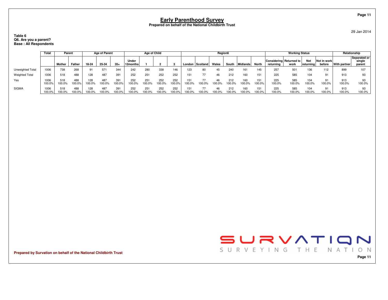#### **Table 6 Q6. Are you a parent?Base : All Respondents**

|                       | Total          | Parent           |               |               | <b>Age of Parent</b> |              |                    | Age of Child |               |               |        |                 | Region6       |              |               |               |                                      | <b>Working Status</b> |                         |                       |               | Relationship                     |
|-----------------------|----------------|------------------|---------------|---------------|----------------------|--------------|--------------------|--------------|---------------|---------------|--------|-----------------|---------------|--------------|---------------|---------------|--------------------------------------|-----------------------|-------------------------|-----------------------|---------------|----------------------------------|
|                       |                | Mother<br>Father |               | 18-24         | 25-34                | $35+$        | Under<br> 12months |              |               |               | London | <b>Scotland</b> | Wales         | South        | Midlands      | North         | Considering Returned to<br>returning | work                  | <b>Not</b><br>returning | Not in work<br>before | With partner  | Separated or<br>single<br>parent |
| Unweighted Total      | 1006           | 738              | 268           | 91            | 571                  | 344          | 242                | 280          | 338           | 146           | 23     | 80              | 45            | 240          | 161           | 145           | 257                                  | 50 <sup>°</sup>       | 136                     | 112                   | 899           |                                  |
| <b>Weighted Total</b> | 1006           | 518              | 488           | 128           | 487                  | 391          | 252                | 251          | 252           | 252           |        | 77              | 46            | 212          | 160           | 151           | 225                                  | 585                   | 104                     | 91                    | 913           |                                  |
| Yes                   | 1006<br>100.0% | 518<br>100.0%    | 488<br>100.0% | 128<br>100.0% | 487<br>100.0%        | 391<br>00.0% | 252<br>100.0%      | 251<br>00.0% | 252<br>100.0% | 252<br>100.0% |        | 77<br>100.0%    | 46<br>$0.0\%$ | 212<br>00.0% | 160<br>100.0% | 151<br>100.0% | 225<br>100.0%                        | 585<br>100.0%         | 104<br>100.0%           | 91<br>100.0%          | 913<br>100.0% | 100.0%                           |
| <b>SIGMA</b>          | 1006<br>100.0% | 518<br>100.0%    | 488<br>100.0% | 128<br>100.0% | 487<br>00.0%         | 391<br>00.0% | 252<br>100.0%      | 251<br>00.0% | 252<br>100.0% | 252<br>100.0% |        | 100.0%          | 46<br>00.0%   | 212<br>00.0% | 160<br>100.0% | 151<br>100.0% | 225<br>100.0%                        | 585<br>100.0%         | 104<br>100.0%           | 100.0%                | 913<br>100.0% | 100.0%                           |

**Prepared by Survation on behalf of the National Childbirth Trust**



**Page 11**

29 Jan 2014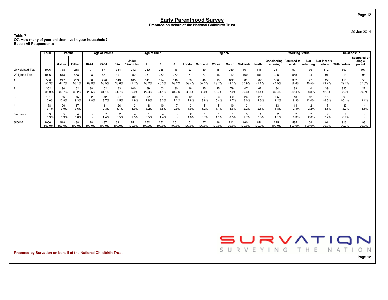29 Jan 2014

**Table 7Q7. How many of your children live in your household? Base : All Respondents**

|                       | Total          | Parent        |               |               | <b>Age of Parent</b> |               |                   | Age of Child  |              |                                                      |               |             | Region6      |               |               |               |               | <b>Working Status</b>           |                           |                       |               | Relationship                     |
|-----------------------|----------------|---------------|---------------|---------------|----------------------|---------------|-------------------|---------------|--------------|------------------------------------------------------|---------------|-------------|--------------|---------------|---------------|---------------|---------------|---------------------------------|---------------------------|-----------------------|---------------|----------------------------------|
|                       |                | Mother        | Father        | 18-24         | 25-34                | $35+$         | Under<br>12months |               |              |                                                      | London        | Scotland    | Wales        | South         | Midlands      | North         | returnina     | Considering Returned to<br>work | <b>Not</b><br>  returnina | Not in work<br>before | With partner  | Separated or<br>single<br>parent |
| Unweighted Total      | 1006           | 738           | 268           | 91            | 571                  | 344           | 242               | 280           | 338          | 146                                                  | 123           | 80          | 45           | 240           | 161           | 145           | 257           | 501                             | 136                       | 112                   | 899           | 107                              |
| <b>Weighted Total</b> | 1006           | 518           | 488           | 128           | 487                  | 391           | 252               | 251           | 252          | 252                                                  | 151           | 77          | 46           | 212           | 160           | 151           | 225           | 585                             | 104                       | 91                    | 913           | 93                               |
|                       | 506<br>50.3%   | 247<br>47.7%  | 259<br>53.1%  | 88<br>68.8%   | 276<br>56.5%         | 143<br>36.6%  | 105<br>41.7%      | 141<br>56.2%  | 114<br>45.3% | 146<br>58.2%                                         | 88<br>58.4%   | 40<br>52.3% | 13<br>28.7%  | 102<br>48.1%  | 81<br>50.9%   | 62<br>41.1%   | 100<br>44.5%  | 332<br>56.6%                    | 47<br>45.5%               | 27<br>29.7%           | 453<br>49.7%  | 53<br>57.0%                      |
|                       | 352<br>35.0%   | 190<br>36.7%  | 162<br>33.2%  | 38<br>29.5%   | 152<br>31.1%         | 163<br>41.7%  | 100<br>39.9%      | 69<br>27.3%   | 103<br>41.1% | 80<br>31.7%                                          | 46<br>30.4%   | 25<br>32.0% | 25<br>53.7%  | 79<br>37.2%   | 47<br>29.3%   | 62<br>41.1%   | 84<br>37.4%   | 189<br>32.4%                    | 40<br>38.3%               | 39<br>42.3%           | 325<br>35.6%  | 27<br>29.3%                      |
|                       | 101<br>10.0%   | 56<br>10.8%   | 45<br>9.3%    | 1.8%          | 42<br>8.7%           | 57<br>14.5%   | 30<br>11.9%       | 32<br>12.8%   | 21<br>8.3%   | 18<br>7.2%                                           | 12<br>7.8%    | 8.8%        | 5.4%         | 20<br>9.7%    | 26<br>16.0%   | 22<br>14.6%   | 25<br>11.2%   | 48<br>8.3%                      | 12<br>12.0%               | 15<br>16.6%           | 93<br>10.1%   | 9.1%                             |
|                       | 38<br>3.7%     | 20<br>3.9%    | 17<br>3.6%    |               | 2.3%                 | 26<br>6.7%    | 13<br>5.0%        | 8<br>3.2%     | 10<br>3.8%   | 2.9%                                                 | 1.9%          | 6.2%        | 11.1%        | 10<br>4.6%    | 2.2%          | 4<br>2.6%     | 13<br>5.8%    | 14<br>2.4%                      | 2<br>2.2%                 | 8.6%                  | 33<br>3.7%    | 4.6%                             |
| 5 or more             | 0.9%           | 0.9%          | 0.8%          |               | 1.4%                 | 0.5%          | 1.5%              | 0.5%          | 1.4%         | $\overline{\phantom{a}}$<br>$\overline{\phantom{a}}$ | 1.6%          | 0.7%        | 1.1%         | 0.5%          | 1.7%          | 0.5%          | 1.1%          | 0.3%                            | $\overline{2}$<br>2.0%    | 2<br>2.7%             | 0.9%          |                                  |
| <b>SIGMA</b>          | 1006<br>100.0% | 518<br>100.0% | 488<br>100.0% | 128<br>100.0% | 487<br>100.0%        | 391<br>100.0% | 251<br>100.0%     | 252<br>100.0% | 252<br>00.0% | 251<br>100.0%                                        | 151<br>100.0% | 77<br>00.0% | 46<br>100.0% | 212<br>100.0% | 160<br>100.0% | 151<br>100.0% | 225<br>100.0% | 585<br>100.0%                   | 104<br>00.0%              | 91<br>100.0%          | 913<br>100.0% | 93<br>100.0%                     |

**Prepared by Survation on behalf of the National Childbirth Trust**



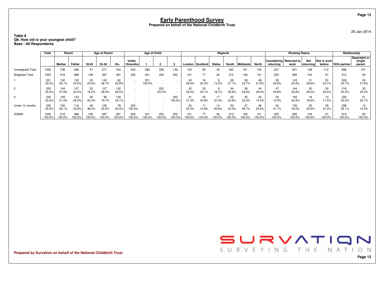#### **Table 8Q8. How old is your youngest child? Base : All Respondents**

|                       | Total           | Parent       |               |               | <b>Age of Parent</b> |              |                   | Age of Child  |               |                                                      |             |              | Region6      |               |               |              |                                      | <b>Working Status</b> |                         |                       |               | Relationship                     |
|-----------------------|-----------------|--------------|---------------|---------------|----------------------|--------------|-------------------|---------------|---------------|------------------------------------------------------|-------------|--------------|--------------|---------------|---------------|--------------|--------------------------------------|-----------------------|-------------------------|-----------------------|---------------|----------------------------------|
|                       |                 | Mother       | Father        | 18-24         | 25-34                | $35+$        | Under<br>12months |               |               |                                                      | London      | l Scotland   | Wales        | South         | Midlands      | <b>North</b> | Considering Returned to<br>returning | work                  | <b>Not</b><br>returning | Not in work<br>before | With partner  | Separated or<br>single<br>parent |
| Unweighted Total      | 1006            | 738          | 268           | 91            | 571                  | 344          | 242               | 280           | 338           | 146                                                  | 23          | 80           | 45           | 240           | 161           | 145          | 257                                  | 501                   | 136                     | 112                   | 899           | 107                              |
| <b>Weighted Total</b> | 1006            | 518          | 488           | 128           | 487                  | 391          | 252               | 251           | 252           | 252                                                  | 151         | 77           | 46           | 212           | 160           | 151          | 225                                  | 585                   | 104                     | 91                    | 913           | 93                               |
|                       | $25 -$<br>25.0% | 130<br>25.1% | 122<br>24.9%  | 30<br>23.5%   | 140<br>28.7%         | 82<br>20.9%  |                   | 251<br>100.0% |               | $\overline{\phantom{a}}$<br>$\overline{\phantom{a}}$ | 26.6%       | 16<br>20.3%  | 13.2%        | 58<br>27.1%   | 38<br>23.7%   | 48<br>31.6%  | 55<br>24.6%                          | 143<br>24.5%          | 31<br>29.6%             | 22<br>24.1%           | 226<br>24.7%  | 26<br>27.9%                      |
| 2                     | 252<br>25.0%    | 144<br>27.8% | 107<br>22.0%  | 23<br>18.2%   | 127<br>26.0%         | 102<br>26.0% |                   |               | 252<br>100.0% | $\overline{\phantom{a}}$<br>$\overline{\phantom{a}}$ | 35<br>23.5% | 25<br>32.1%  | 18.7%        | 54<br>25.6%   | 39<br>24.6%   | 44<br>29.0%  | 47<br>20.8%                          | 144<br>24.6%          | 30<br>29.2%             | 30<br>33.0%           | 219<br>24.0%  | 33<br>35.2%                      |
| 3                     | 252<br>25.0%    | 109<br>21.0% | 143<br>29.3%  | 26<br>20.4%   | 96<br>19.7%          | 129<br>33.1% |                   |               |               | 252<br>100.0%                                        | 27.3%       | 25<br>32.8%  | 37.3%        | 50<br>23.8%   | 35<br>22.0%   | 22<br>14.5%  | 29<br>12.9%                          | 193<br>32.9%          | 19<br>18.6%             | 10<br>11.5%           | 230<br>25.2%  | 21<br>22.7%                      |
| Under 12 months       | 252<br>25.0%    | 135<br>26.1% | 116<br>23.8%  | 49<br>38.0%   | 125<br>25.6%         | 78<br>20.0%  | 252<br>$00.0\%$   | $\sim$        |               | $\overline{\phantom{a}}$                             | 34<br>22.5% | 14.8%        | 14<br>30.8%  | 50<br>23.5%   | 47<br>29.7%   | 38<br>24.9%  | 94<br>41.7%                          | 105<br>18.0%          | 23<br>22.6%             | 29<br>31.4%           | 238<br>26.1%  | 13<br>14.3%                      |
| <b>SIGMA</b>          | 1006<br>100.0%  | 518<br>00.0% | 488<br>100.0% | 128<br>100.0% | 487<br>00.0%         | 391<br>00.0% | 252<br>00.0%      | 251<br>00.09  | 252<br>00.0%  | 252<br>00.0%                                         |             | 77<br>100.0% | 46<br>100.0% | 212<br>100.0% | 160<br>100.0% | 151<br>00.0% | 225<br>100.0%                        | 585<br>100.0%         | 104<br>100.0%           | 91<br>100.0%          | 913<br>100.0% | 93<br>100.0%                     |

**Prepared by Survation on behalf of the National Childbirth Trust**



29 Jan 2014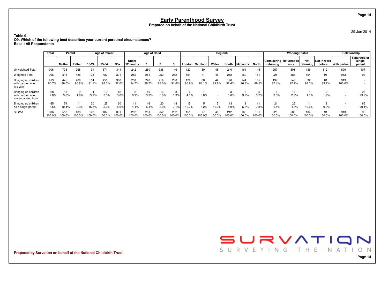**Table 9**

 **Q9. Which of the following best describes your current personal circumstances?Base : All Respondents**

|                                                               | <b>Total</b>   | Parent        |              |               | <b>Age of Parent</b> |              |                   | Age of Child |              |               |               |              | Region6     |              |              |              |                                      | <b>Working Status</b> |                  |                       |               | Relationship                                         |
|---------------------------------------------------------------|----------------|---------------|--------------|---------------|----------------------|--------------|-------------------|--------------|--------------|---------------|---------------|--------------|-------------|--------------|--------------|--------------|--------------------------------------|-----------------------|------------------|-----------------------|---------------|------------------------------------------------------|
|                                                               |                | Mother        | Father       | 18-24         | 25-34                | $35+$        | Under<br>12months |              |              |               | London        | Scotland     | Wales       | South        | Midlands     | <b>North</b> | Considering Returned to<br>returning | work                  | Not<br>returning | Not in work<br>before | With partner  | Separated or<br>single<br>parent                     |
| Unweighted Total                                              | 1006           | 738           | 268          | 91            | 571                  | 344          | 242               | 280          | 338          | 146           | 123           | 80           | 45          | 240          | 161          | 145          | 257                                  | 501                   | 136              | 112                   | 899           | 107                                                  |
| <b>Weighted Total</b>                                         | 1006           | 518           | 488          | 128           | 487                  | 391          | 252               | 251          | 252          | 252           | 151           | 77           | 46          | 212          | 160          | 151          | 225                                  | 585                   | 104              | 91                    | 913           | 93                                                   |
| Bringing up children<br>with partner who I<br>live with       | 913<br>90.7%   | 445<br>86.0%  | 468<br>95.8% | 104<br>81.1%  | 450<br>92.3%         | 360<br>92.0% | 238<br>94.7%      | 226<br>89.7% | 219<br>87.0% | 230<br>91.6%  | 129<br>85.9%  | 68<br>88.1%  | 42<br>89.8% | 196<br>92.4% | 144<br>90.3% | 135<br>89.5% | 197<br>87.4%                         | 543<br>92.7%          | 92<br>88.3%      | 81<br>89.1%           | 913<br>100.0% | $\overline{\phantom{0}}$<br>$\overline{\phantom{a}}$ |
| Bringing up children<br>with partner who<br>am separated from | 28<br>2.8%     | 3.6%          | 9<br>1.9%    | 3.1%          | 12<br>2.5%           | 12<br>3.0%   | 0.9%              | 10<br>3.9%   | 13<br>5.0%   | 3<br>1.3%     | 4.1%          | 5.8%         |             | 1.6%         | -6<br>3.9%   | 5<br>3.2%    | 3.5%                                 | 2.9%                  | 1.1%             | 1.9%                  |               | 28<br>29.9%                                          |
| Bringing up children<br>as a single parent                    | 65<br>6.5%     | 54<br>10.4%   | 11<br>2.3%   | 20<br>15.8%   | 25<br>5.2%           | 20<br>5.0%   | 11<br>4.4%        | 16<br>6.4%   | 20<br>8.0%   | 18<br>7.1%    | 15<br>10.0%   | 6.2%         | 10.2%       | 13<br>5.9%   | -9<br>5.8%   | 11<br>7.3%   | 21<br>9.1%                           | 25<br>4.3%            | 11<br>10.6%      | 9.0%                  |               | 65<br>70.1%                                          |
| <b>SIGMA</b>                                                  | 1006<br>100.0% | 518<br>100.0% | 488<br>00.0% | 128<br>100.0% | 487<br>00.0%         | 391<br>00.0% | 252<br>100.0%     | 251<br>00.0% | 252<br>00.0% | 252<br>100.0% | 151<br>100.0% | 77<br>100.0% | 46          | 212<br>00.0% | 160<br>00.0% | 151<br>00.0% | 225<br>100.0%                        | 585<br>100.0%         | 104<br>100.0%    | 100.0%                | 913<br>100.0% | 93<br>100.0%                                         |

**Prepared by Survation on behalf of the National Childbirth Trust**



29 Jan 2014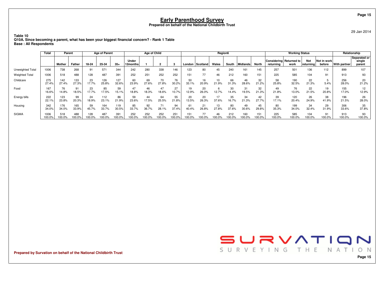29 Jan 2014

**Table 10 Q10A. Since becoming a parent, what has been your biggest financial concern? - Rank 1 TableBase : All Respondents**

|                       | Total          | Parent        |              |               | <b>Age of Parent</b> |              |                   | <b>Age of Child</b> |              |                 |              |              | Region6       |              |               |               |                                      | <b>Working Status</b> |                   |                       |               | Relationship                     |
|-----------------------|----------------|---------------|--------------|---------------|----------------------|--------------|-------------------|---------------------|--------------|-----------------|--------------|--------------|---------------|--------------|---------------|---------------|--------------------------------------|-----------------------|-------------------|-----------------------|---------------|----------------------------------|
|                       |                | Mother        | Father       | 18-24         | 25-34                | $35+$        | Under<br>12months |                     |              |                 | London       | Scotland     | Wales         | South        | Midlands      | <b>North</b>  | Considering Returned to<br>returnina | work                  | Not<br> returning | Not in work<br>before | With partner  | Separated or<br>single<br>parent |
| Unweighted Total      | 1006           | 738           | 268          | 91            | 571                  | 344          | 242               | 280                 | 338          | 146             | 123          | 80           |               | 240          | 161           | 145           | 257                                  | 501                   | 136               | 112                   | 899           | 107                              |
| <b>Weighted Total</b> | 1006           | 518           | 488          | 128           | 487                  | 391          | 252               | 251                 | 252          | 252             | 151          | 77           | 46            | 212          | 160           | 151           | 225                                  | 585                   | 104               | 91                    | 913           | 93                               |
| Childcare             | 275<br>27.4%   | 142<br>27.4%  | 133<br>27.3% | 23<br>17.7%   | 126<br>25.8%         | 127<br>32.6% | 60<br>23.9%       | 69<br>27.6%         | 70<br>27.8%  | 76<br>30.2%     | 50<br>33.1%  | 16<br>20.9%  | 21.9%         | 66<br>31.3%  | 46<br>28.6%   | 32<br>21.2%   | 58<br>25.8%                          | 190<br>32.5%          | 22<br>21.3%       | 5.4%                  | 256<br>28.0%  | 20<br>21.2%                      |
| Food                  | 167<br>16.6%   | 76<br>14.8%   | 91<br>18.5%  | 23<br>17.7%   | 85<br>17.5%          | 59<br>15.1%  | 47<br>18.8%       | 46<br>18.3%         | 47<br>18.6%  | 27<br>10.7%     | 19<br>12.9%  | 20<br>26.0%  | 12.7%         | 30<br>14.4%  | 31<br>19.5%   | 32<br>21.3%   | 49<br>21.8%                          | 76<br>13.0%           | 22<br>21.5%       | 19<br>20.8%           | 155<br>17.0%  | 12<br>12.9%                      |
| Energy bills          | 222<br>22.1%   | 123<br>23.8%  | 99<br>20.3%  | 24<br>18.9%   | 112<br>23.1%         | 86<br>21.9%  | 59<br>23.6%       | 44<br>17.5%         | 64<br>25.5%  | 55<br>21.8%     | 20<br>13.5%  | 20<br>26.3%  | 37.6%         | 35<br>16.7%  | 34<br>21.3%   | 42<br>27.7%   | 39<br>17.1%                          | 120<br>20.4%          | 26<br>24.9%       | 38<br>41.9%           | 196<br>21.5%  | 26<br>28.0%                      |
| Housing               | 342<br>34.0%   | 176<br>34.0%  | 165<br>33.9% | 59<br>45.7%   | 164<br>33.7%         | 119<br>30.5% | 85<br>33.7%       | 92<br>36.7%         | 71<br>28.1%  | 94<br>37.4%     | ы<br>40.4%   | 21<br>26.8%  | 13<br>27.8%   | 80<br>37.6%  | 49<br>30.6%   | 45<br>29.8%   | 80<br>35.3%                          | 199<br>34.0%          | 34<br>32.4%       | 29<br>31.9%           | 306<br>33.6%  | 35<br>37.8%                      |
| <b>SIGMA</b>          | 1006<br>100.0% | 518<br>100.0% | 488<br>00.0% | 128<br>100.0% | 487<br>00.0%         | 391<br>00.0% | 252<br>100.0%     | 252<br>100.0%       | 252<br>00.0% | 251<br>$00.0\%$ | 151<br>00.0% | 77<br>100.0% | $100.0^\circ$ | 212<br>00.0% | 160<br>100.0% | 151<br>100.0% | 225<br>100.0%                        | 585<br>100.0%         | 104<br>100.0%     | 91<br>100.0%          | 913<br>100.0% | 93<br>100.0%                     |

**Prepared by Survation on behalf of the National Childbirth Trust**

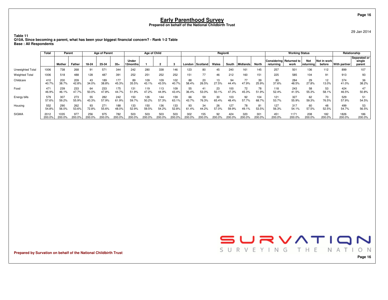29 Jan 2014

**Page 16**

**Table 11 Q10A. Since becoming a parent, what has been your biggest financial concern? - Rank 1-2 TableBase : All Respondents**

|                       | Total                    |                | Parent        |               | Age of Parent |               |                   | Age of Child  |               |               |               |                       | Region6      |               |                        |               |                                      | <b>Working Status</b> |                  |                       |                | Relationship                     |
|-----------------------|--------------------------|----------------|---------------|---------------|---------------|---------------|-------------------|---------------|---------------|---------------|---------------|-----------------------|--------------|---------------|------------------------|---------------|--------------------------------------|-----------------------|------------------|-----------------------|----------------|----------------------------------|
|                       |                          | Mother         | Father        | 18-24         | 25-34         | $35+$         | Under<br>12months |               |               |               | London        | Scotland <sup>1</sup> | Wales        | South         | Midlands               | North         | Considering Returned to<br>returning | work                  | Not<br>returning | Not in work<br>before | With partner   | Separated or<br>single<br>parent |
| Unweighted Total      | 1006                     | 738            | 268           | 91            | 571           | 344           | 242               | 280           | 338           | 146           | 123           | 80                    | 45           | 240           | 161                    | 145           | 257                                  | 501                   | 136              | 112                   | 899            | 107                              |
| <b>Weighted Total</b> | 1006                     | 518            | 488           | 128           | 487           | 391           | 252               | 251           | 252           | 252           | 151           | 77                    | 46           | 212           | 160                    | 151           | 225                                  | 585                   | 104              | 91                    | 913            | 93                               |
| Childcare             | 410<br>40.7%             | 200<br>38.7%   | 209<br>42.8%  | 43<br>34.0%   | 189<br>38.8%  | 177<br>45.3%  | 89<br>35.5%       | 109<br>43.1%  | 109<br>43.5%  | 102<br>40.7%  | 88<br>58.4%   | 20<br>26.5%           | 13<br>27.5%  | 94<br>44.4%   | 77<br>47.9%            | 39<br>25.9%   | 85<br>37.6%                          | 284<br>48.5%          | 29<br>27.8%      | 12<br>13.0%           | 374<br>41.0%   | 36<br>38.2%                      |
| Food                  | 47 <sup>4</sup><br>46.9% | 239<br>46.1%   | 233<br>47.7%  | 64<br>50.0%   | 233<br>47.8%  | 175<br>44.7%  | 131<br>51.9%      | 119<br>47.2%  | 113<br>44.9%  | 109<br>43.4%  | 55<br>36.4%   | 41<br>53.0%           | 23<br>50.1%  | 100<br>47.3%  | 72<br>45.3%            | 78<br>51.9%   | 118<br>52.4%                         | 243<br>41.5%          | 58<br>55.3%      | 53<br>58.1%           | 424<br>46.5%   | 50.8%                            |
| Energy bills          | 579<br>57.6%             | 307<br>59.2%   | 273<br>55.9%  | 55<br>43.3%   | 282<br>57.9%  | 242<br>61.9%  | 150<br>59.7%      | 126<br>50.2%  | 144<br>57.3%  | 159<br>63.1%  | 66<br>43.7%   | 59<br>76.3%           | 30<br>65.4%  | 103<br>48.4%  | 92<br>57.7%            | 104<br>68.7%  | 121<br>53.7%                         | 327<br>55.9%          | 62<br>59.3%      | 70<br>76.5%           | 529<br>57.9%   | 51<br>54.5%                      |
| Housing               | 552<br>54.8%             | 290<br>56.0%   | 262<br>53.6%  | 93<br>72.8%   | 271<br>55.6%  | 188<br>48.0%  | 133<br>52.9%      | 150<br>59.5%  | 136<br>54.2%  | 133<br>52.8%  | 93<br>1.4%    | 34<br>44.2%           | 26<br>57.0%  | 127<br>59.9%  | 78<br>49.1%            | 81<br>53.5%   | 127<br>56.3%                         | 317<br>54.1%          | 60<br>57.5%      | 48<br>52.5%           | 499<br>54.7%   | 53<br>56.5%                      |
| <b>SIGMA</b>          | 2012<br>200.0%           | 1035<br>200.0% | 977<br>200.0% | 256<br>200.0% | 975<br>200.0% | 782<br>200.0% | 503<br>200.0%     | 503<br>200.0% | 503<br>200.0% | 503<br>200.0% | 302<br>200.0% | 155<br>200.0%         | 92<br>200.0% | 424<br>200.0% | 320<br>$200.0^{\circ}$ | 301<br>200.0% | 451<br>200.0%                        | 1171<br>200.0%        | 208<br>200.0%    | 182<br>200.0%         | 1826<br>200.0% | 186<br>200.0%                    |

**Prepared by Survation on behalf of the National Childbirth Trust**

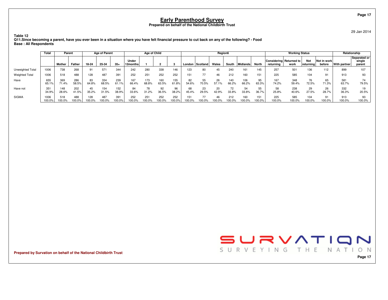29 Jan 2014

 **Q11.Since becoming a parent, have you ever been in a situation where you have felt financial pressure to cut back on any of the following? - FoodBase : All Respondents**

|                       | Total          | Parent        |               |              | Age of Parent |               |                   | Age of Child  |              |               |             |              | Region6     |              |               |               |               | <b>Working Status</b>           |                         |                          |               | Relationship                     |
|-----------------------|----------------|---------------|---------------|--------------|---------------|---------------|-------------------|---------------|--------------|---------------|-------------|--------------|-------------|--------------|---------------|---------------|---------------|---------------------------------|-------------------------|--------------------------|---------------|----------------------------------|
|                       |                | Mother        | Father        | 18-24        | 25-34         | $35+$         | Under<br>12months |               |              |               | London      | Scotland     | Wales       | South        | Midlands      | North         | returning     | Considering Returned to<br>work | <b>Not</b><br>returning | Not in work<br>before    | With partner  | Separated or<br>single<br>parent |
| Unweighted Total      | 1006           | 738           | 268           | 91           | 571           | 344           | 242               | 280           | 338          | 146           | 123         | 80           |             | 240          | 161           | 145           | 257           | 501                             | 136                     | 112                      | 899           | 107                              |
| <b>Weighted Total</b> | 1006           | 518           | 488           | 128          | 487           | 391           | 252               | 251           | 252          | 252           | 151         | 77           |             | 212          | 160           | 151           | 225           | 585                             | 104                     | 91                       | 913           | 93                               |
| Have                  | 655<br>65.1%   | 369<br>71.4%  | 286<br>58.5%  | 83<br>64.8%  | 334<br>68.5%  | 239<br>61.1%  | 167<br>66.4%      | 173<br>68.8%  | 160<br>63.5% | 155<br>61.8%  | 82<br>54.6% | 55<br>70.5%  | 26<br>57.1% | 140<br>66.2% | 106<br>66.2%  | 95<br>63.3%   | 167<br>74.2%  | 348<br>59.4%                    | 76<br>72.5%             | 65<br>71.3%              | 581<br>63.7%  | 74<br>79.5%                      |
| Have not              | 351<br>34.9%   | 148<br>28.6%  | 202<br>41.5%  | 45<br>35.2%  | 154<br>31.5%  | 152<br>38.9%  | 84<br>33.6%       | 78<br>31.2%   | 92<br>36.5%  | 96<br>38.2%   | 68<br>45.4% | 23<br>29.5%  | 42.9%       | 72<br>33.8%  | 54<br>33.8%   | 55<br>36.7%   | 58<br>25.8%   | 238<br>40.6%                    | 29<br>27.5%             | 26<br>28.7%              | 332<br>36.3%  | 20.5%                            |
| <b>SIGMA</b>          | 1006<br>100.0% | 518<br>100.09 | 488<br>100.0% | 128<br>00.0% | 487<br>100.0% | 391<br>100.0% | 252<br>100.0%     | 251<br>100.0% | 252<br>00.0% | 252<br>100.0% | 100.0%      | 77<br>100.0% | 100.0%      | 212<br>00.0% | 160<br>100.0% | 151<br>100.0% | 225<br>100.0% | 585<br>100.0%                   | 104<br>100.0%           | Q <sub>1</sub><br>100.0% | 913<br>100.0% | 93<br>100.0%                     |

**Prepared by Survation on behalf of the National Childbirth Trust**

**Table 12**



**Page 17**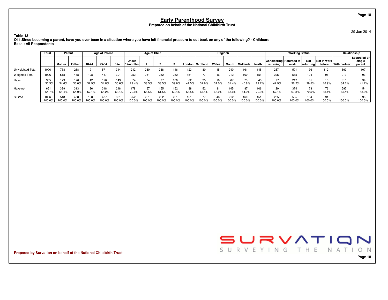29 Jan 2014

**Table 13 Q11.Since becoming a parent, have you ever been in a situation where you have felt financial pressure to cut back on any of the following? - ChildcareBase : All Respondents**

|                       | Total          | Parent        |               |               | <b>Age of Parent</b> |               |                   | Age of Child  |                 |               |              |             | Region6 |               |              |               |                                      | <b>Working Status</b> |                   |                       |               | Relationship                     |
|-----------------------|----------------|---------------|---------------|---------------|----------------------|---------------|-------------------|---------------|-----------------|---------------|--------------|-------------|---------|---------------|--------------|---------------|--------------------------------------|-----------------------|-------------------|-----------------------|---------------|----------------------------------|
|                       |                | Mother        | Father        | 18-24         | 25-34                | $35+$         | Under<br>12months |               |                 |               | London       | Scotland    | Wales   | South         | Midlands     | North         | Considering Returned to<br>returning | work                  | Not<br> returning | Not in work<br>before | With partner  | Separated or<br>single<br>parent |
| Unweighted Total      | 1006           | 738           | 268           | 91            | 571                  | 344           | 242               | 280           | 338             | 146           | 123          | 80          |         | 240           | 161          | 145           | 257                                  | 501                   | 136               | 112                   | 899           | 107                              |
| <b>Weighted Total</b> | 1006           | 518           | 488           | 128           | 487                  | 391           | 252               | 251           | 252             | 252           | 151          | 77          |         | 212           | 160          | 151           | 225                                  | 585                   | 104               | 91                    | 913           | 93                               |
| Have                  | 355<br>35.3%   | 179<br>34.6%  | 176<br>36.0%  | 42<br>32.9%   | 170<br>34.8%         | 143<br>36.6%  | 74<br>29.4%       | 84<br>33.5%   | 97<br>38.5%     | 100<br>39.6%  | 62<br>11.5%  | 25<br>32.6% | 34.0%   | 31.4%         | 45.8%        | 45<br>29.7%   | 97<br>42.9%                          | 212<br>36.2%          | 31<br>29.5%       | 15<br>16.9%           | 316<br>34.6%  | 39<br>41.7%                      |
| Have not              | 651<br>64.7%   | 339<br>65.4%  | 313<br>64.0%  | 86<br>67.1%   | 318<br>65.2%         | 248<br>63.4%  | 178<br>70.6%      | 167<br>66.5%  | 155<br>61.5%    | 152<br>60.4%  | 88<br>58.5%  | 52<br>67.4% | 66.0%   | 145<br>68.6%  | 87<br>54.2%  | 106<br>70.3%  | 129<br>57.1%                         | 374<br>63.8%          | 73<br>70.5%       | 76<br>83.1%           | 597<br>65.4%  | 54<br>58.3%                      |
| <b>SIGMA</b>          | 1006<br>100.0% | 518<br>100.0% | 488<br>100.0% | 128<br>100.0% | 487<br>100.0%        | 391<br>100.0% | 252<br>100.0%     | 251<br>100.0% | 252<br>$00.0\%$ | 251<br>100.0% | 151<br>00.0% | 77<br>00.0% | 00.0%   | 212<br>100.0% | 160<br>00.0% | 151<br>100.0% | 225<br>100.0%                        | 585<br>100.0%         | 104<br>100.0%     | 91<br>100.0%          | 913<br>100.0% | 93<br>100.0%                     |

**Prepared by Survation on behalf of the National Childbirth Trust**



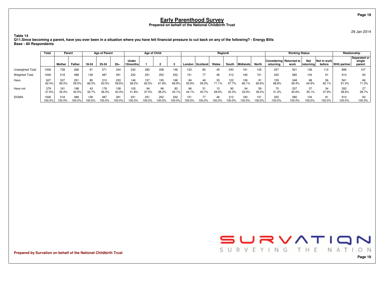29 Jan 2014

**Page 19**

 **Q11.Since becoming a parent, have you ever been in a situation where you have felt financial pressure to cut back on any of the following? - Energy BillsBase : All Respondents**

|                       | Total          | Parent        |               |              | Age of Parent |               |                   | Age of Child  |              |               |             |              | Region6     |              |                    |               |               | <b>Working Status</b>           |                         |                          |               | Relationship                     |
|-----------------------|----------------|---------------|---------------|--------------|---------------|---------------|-------------------|---------------|--------------|---------------|-------------|--------------|-------------|--------------|--------------------|---------------|---------------|---------------------------------|-------------------------|--------------------------|---------------|----------------------------------|
|                       |                | Mother        | Father        | 18-24        | 25-34         | $35+$         | Under<br>12months |               |              |               | London      | Scotland     | Wales       | South        | Midlands           | North         | returning     | Considering Returned to<br>work | <b>Not</b><br>returning | Not in work<br>before    | With partner  | Separated or<br>single<br>parent |
| Unweighted Total      | 1006           | 738           | 268           | 91           | 571           | 344           | 242               | 280           | 338          | 146           | 123         | 80           |             | 240          | 161                | 145           | 257           | 501                             | 136                     | 112                      | 899           | 107                              |
| <b>Weighted Total</b> | 1006           | 518           | 488           | 128          | 487           | 391           | 252               | 251           | 252          | 252           | 151         | 77           |             | 212          | 160                | 151           | 225           | 585                             | 104                     | 91                       | 913           | 93                               |
| Have                  | 627<br>62.4%   | 337<br>65.0%  | 291<br>59.5%  | 85<br>66.3%  | 310<br>63.5%  | 233<br>59.6%  | 146<br>58.2%      | 157<br>62.5%  | 155<br>61.8% | 168<br>66.9%  | 84<br>55.9% | 46<br>59.3%  | 33<br>71 1% | 122<br>57.7% | 106<br>66.1%       | 91<br>60.6%   | 155<br>68.8%  | 348<br>59.4%                    | 68<br>64.9%             | 56<br>62.1%              | 561<br>61.4%  | 66<br>71.3%                      |
| Have not              | 379<br>37.6%   | 181<br>35.0%  | 198<br>40.5%  | 43<br>33.7%  | 178<br>36.5%  | 158<br>40.4%  | 105<br>41.8%      | 94<br>37.5%   | 96<br>38.2%  | 83<br>33.1%   | 66<br>44.1% | 31<br>40.7%  | 28.9%       | 42.3%        | 54<br>ັບຯ<br>33.9% | 59<br>39.4%   | 70<br>31.2%   | 237<br>40.6%                    | 37<br>35.1%             | 34<br>37.9%              | 352<br>38.6%  | 27<br>28.7%                      |
| <b>SIGMA</b>          | 1006<br>100.0% | 518<br>100.09 | 488<br>100.0% | 128<br>00.0% | 487<br>100.0% | 391<br>100.0% | 251<br>100.0%     | 251<br>100.0% | 252<br>00.0% | 252<br>100.0% | 100.0%      | 77<br>100.0% | 100.0%      | 212<br>00.0% | 160<br>100.0%      | 151<br>100.0% | 225<br>100.0% | 585<br>100.0%                   | 104<br>100.0%           | Q <sub>1</sub><br>100.0% | 913<br>100.0% | 93<br>100.0%                     |

**Prepared by Survation on behalf of the National Childbirth Trust**

**Table 14**



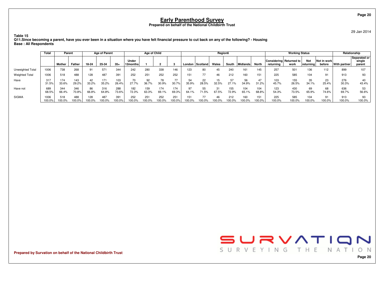29 Jan 2014

**Page 20**

**Table 15 Q11.Since becoming a parent, have you ever been in a situation where you have felt financial pressure to cut back on any of the following? - HousingBase : All Respondents**

|                       | Total          | Parent        |              |              | <b>Age of Parent</b> |               |                   | Age of Child  |              |               |               |             | <b>Region6</b> |               |               |               |                                      | <b>Working Status</b> |                   |                       |               | Relationship                     |
|-----------------------|----------------|---------------|--------------|--------------|----------------------|---------------|-------------------|---------------|--------------|---------------|---------------|-------------|----------------|---------------|---------------|---------------|--------------------------------------|-----------------------|-------------------|-----------------------|---------------|----------------------------------|
|                       |                | Mother        | Father       | 18-24        | 25-34                | $35+$         | Under<br>12months |               |              |               | London        | Scotland    | Wales          | South         | Midlands      | North         | Considering Returned to<br>returning | work                  | Not<br> returning | Not in work<br>before | With partner  | Separated or<br>single<br>parent |
| Unweighted Total      | 1006           | 738           | 268          |              | 571                  | 344           | 242               | 280           | 338          | 146           | 123           | 80          | 45             | 240           | 161           | 145           | 257                                  | 501                   | 136               | 112                   | 899           | 107                              |
| <b>Weighted Total</b> | 1006           | 518           | 488          | 128          | 487                  | 391           | 252               | 251           | 252          | 252           | 151           | 77          | 46             | 212           | 160           | 151           | 225                                  | 585                   | 104               | 91                    | 913           | 93                               |
| Have                  | 317<br>31.5%   | 174<br>33.6%  | 143<br>29.2% | 42<br>33.2%  | 171<br>35.2%         | 103<br>26.4%  | 70<br>27.7%       | 92<br>36.7%   | 78<br>30.9%  | 77<br>30.7%   | 54<br>35.9%   | 22<br>28.5% | 32.5%          | 27.1%         | 56<br>34.9%   | 47<br>31.2%   | 103<br>45.7%                         | 155<br>26.5%          | 35<br>34.1%       | 23<br>25.4%           | 276<br>30.3%  | 40<br>43.4%                      |
| Have not              | 689<br>68.5%   | 344<br>66.4%  | 346<br>70.8% | 86<br>66.8%  | 316<br>64.8%         | 288<br>73.6%  | 182<br>72.3%      | 159<br>63.3%  | 174<br>69.1% | 174<br>69.3%  | 97<br>64.1%   | 55<br>1.5%  | 67.5%          | 155<br>72.9%  | 104<br>65.1%  | 104<br>68.8%  | 123<br>54.3%                         | 430<br>73.5%          | 69<br>65.9%       | 68<br>74.6%           | 636<br>69.7%  | 56.6%                            |
| <b>SIGMA</b>          | 1006<br>100.0% | 518<br>100.0% | 488<br>00.0% | 128<br>00.0% | 487<br>00.0%         | 391<br>100.0% | 252<br>100.0%     | 251<br>100.0% | 252<br>00.0% | 251<br>100.0% | 151<br>100.0% | 77<br>00.0% | 00.0%          | 212<br>100.0% | 160<br>100.0% | 151<br>100.0% | 225<br>100.0%                        | 585<br>100.0%         | 104<br>100.0%     | 91<br>100.0%          | 913<br>100.0% | 93<br>100.0%                     |

**Prepared by Survation on behalf of the National Childbirth Trust**

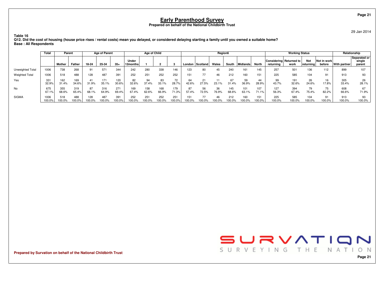29 Jan 2014

 **Q12. Did the cost of housing (house price rises / rental costs) mean you delayed, or considered delaying starting a family until you owned a suitable home?Base : All Respondents**

|                       | Total          | Parent        |              |              | <b>Age of Parent</b> |               |                     | Age of Child  |              |               |               |                 | Region6 |               |               |                 |                                      | <b>Working Status</b> |                          |                       |               | Relationship                     |
|-----------------------|----------------|---------------|--------------|--------------|----------------------|---------------|---------------------|---------------|--------------|---------------|---------------|-----------------|---------|---------------|---------------|-----------------|--------------------------------------|-----------------------|--------------------------|-----------------------|---------------|----------------------------------|
|                       |                | Mother        | Father       | 18-24        | 25-34                | $35+$         | Under<br>12months l |               |              |               |               | London Scotland | Wales   | South         | Midlands      | North           | Considering Returned to<br>returning | work                  | <b>Not</b><br> returning | Not in work<br>before | With partner  | Separated or<br>single<br>parent |
| Unweighted Total      | 1006           | 738           | 268          |              | 571                  | 344           | 242                 | 280           | 338          | 146           | 123           | 80              | 45      | 240           | 161           | 145             | 257                                  | 501                   | 136                      | 112                   | 899           | 107                              |
| <b>Weighted Total</b> | 1006           | 518           | 488          | 128          | 487                  | 391           | 252                 | 251           | 252          | 252           | 151           | 77              | 46      | 212           | 160           | 151             | 225                                  | 585                   | 104                      | 91                    | 913           | 93                               |
| Yes                   | 331<br>32.9%   | 162<br>31.4%  | 169<br>34.6% | 41<br>31.9%  | 171<br>35.1%         | 120<br>30.6%  | 82<br>32.6%         | 94<br>37.4%   | 83<br>33.1%  | 72<br>28.7%   | 64<br>42.6%   | 21<br>27.5%     | 23.1%   | 31.4%         | 59<br>36.9%   | 44<br>28.9%     | 99<br>43.7%                          | 32.6%                 | 26<br>24.6%              | 16<br>17.8%           | 305<br>33.4%  | 26<br>28.1%                      |
| No                    | 675<br>67.1%   | 355<br>68.6%  | 319<br>65.4% | 87<br>68.1%  | 316<br>64.9%         | 271<br>69.4%  | 169<br>67.4%        | 158<br>62.6%  | 168<br>66.9% | 179<br>71.3%  | 87<br>57.4%   | 56<br>72.5%     | 76.9%   | 145<br>68.6%  | 101<br>63.1%  | 107<br>$71.1\%$ | 127<br>56.3%                         | 394<br>67.4%          | 79<br>75.4%              | 75<br>82.2%           | 608<br>66.6%  | 71.9%                            |
| SIGMA                 | 1006<br>100.0% | 518<br>100.0% | 488<br>00.0% | 128<br>00.0% | 487<br>00.0%         | 391<br>100.0% | 252<br>100.0%       | 251<br>100.0% | 252<br>00.0% | 251<br>100.0% | 151<br>100.0% | 77<br>00.0%     | 00.0%   | 212<br>100.0% | 160<br>100.0% | 151<br>100.0%   | 225<br>100.0%                        | 585<br>100.0%         | 104<br>100.0%            | 91<br>100.0%          | 913<br>100.0% | 93<br>100.0%                     |

**Prepared by Survation on behalf of the National Childbirth Trust**

**Table 16**

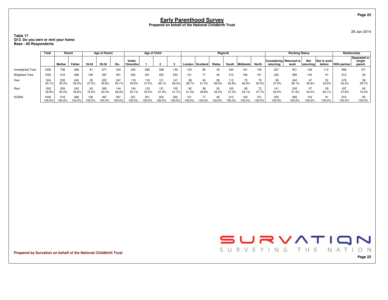#### **Table 17Q13. Do you own or rent your home Base : All Respondents**

|                       | Total          | Parent        |              |               | <b>Age of Parent</b> |               |                   | Age of Child |              |              |             |              | Region6     |              |               |                 |               | <b>Working Status</b>           |                   |                       |               | Relationship                     |
|-----------------------|----------------|---------------|--------------|---------------|----------------------|---------------|-------------------|--------------|--------------|--------------|-------------|--------------|-------------|--------------|---------------|-----------------|---------------|---------------------------------|-------------------|-----------------------|---------------|----------------------------------|
|                       |                | Mother        | Father       | 18-24         | 25-34                | $35+$         | Under<br>12months |              |              |              | London      | Scotland     | Wales       | South        | Midlands      | North           | returning     | Considering Returned to<br>work | Not<br> returning | Not in work<br>before | With partner  | Separated or<br>single<br>parent |
| Unweighted Total      | 1006           | 738           | 268          | 91            | 571                  | 344           | 242               | 280          | 338          | 146          | 123         | 80           | 45          | 240          | 161           | 145             | 257           | 501                             | 136               | 112                   | 899           | 107                              |
| <b>Weighted Total</b> | 1006           | 518           | 488          | 128           | 487                  | 391           | 252               | 251          | 252          | 252          |             |              | 46          | 212          | 160           | 151             | 225           | 585                             | 104               | 91                    | 913           | 93                               |
| Own                   | 504<br>50.1%   | 259<br>50.0%  | 245<br>50.2% | 35<br>27.5%   | 222<br>45.6%         | 247<br>63.1%  | 118<br>46.9%      | 118<br>47.0% | 121<br>48.1% | 147<br>58.3% | 58<br>38.7% | 51.2%        | 26<br>56.0% | 112<br>52.8% | 75<br>46.9%   | 79<br>52.3%     | 85<br>37.5%   | 340<br>58.1%                    | 47<br>45.6%       | 32<br>34.9%           | 476<br>52.2%  | 28<br>29.7%                      |
| Rent                  | 502<br>49.9%   | 259<br>50.0%  | 243<br>49.8% | 93<br>72.5%   | 265<br>54.4%         | 144<br>36.9%  | 134<br>53.1%      | 133<br>53.0% | 131<br>51.9% | 105<br>41.7% | 92<br>61.3% | 38<br>48.8%  | 20<br>44.0% | 100<br>47.2% | 85<br>53.1%   | 72<br>47.7%     | 141<br>62.5%  | 245<br>41.9%                    | 57<br>54.4%       | 59<br>65.1%           | 437<br>47.8%  | 65<br>70.3%                      |
| <b>SIGMA</b>          | 1006<br>100.0% | 518<br>100.0% | 488<br>00.0% | 128<br>100.0% | 487<br>00.0%         | 391<br>100.0% | 251<br>00.0%      | 251<br>00.09 | 252<br>00.0% | 252<br>00.0% | 100.0%      | 77<br>100.0% | 46<br>00.0% | 212<br>00.0% | 160<br>100.0% | 151<br>$00.0\%$ | 225<br>100.0% | 585<br>100.0%                   | 104<br>100.0%     | 91<br>100.0%          | 913<br>100.0% | 93<br>100.0%                     |

**Prepared by Survation on behalf of the National Childbirth Trust**



29 Jan 2014

**Page 22**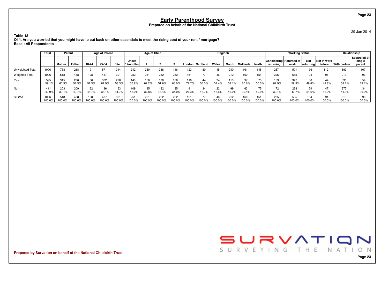29 Jan 2014

**Page 23**

**Table 18 Q14. Are you worried that you might have to cut back on other essentials to meet the rising cost of your rent / mortgage?Base : All Respondents**

|                         | <b>Total</b>   | Parent        |               |               | <b>Age of Parent</b> |               |                   | Age of Child |               |              |               |             | Region6     |               |              |                 |               | <b>Working Status</b>           |                         |                       |               | Relationship                     |
|-------------------------|----------------|---------------|---------------|---------------|----------------------|---------------|-------------------|--------------|---------------|--------------|---------------|-------------|-------------|---------------|--------------|-----------------|---------------|---------------------------------|-------------------------|-----------------------|---------------|----------------------------------|
|                         |                | Mother        | Father        | 18-24         | 25-34                | $35+$         | Under<br>12months |              |               |              | London        | Scotland    | Wales       | South         | Midlands     | North           | returning     | Considering Returned to<br>work | <b>Not</b><br>returning | Not in work<br>before | With partner  | Separated or<br>single<br>parent |
| <b>Unweighted Total</b> | 1006           | 738           | 268           | 9.            | 571                  | 344           | 242               | 280          | 338           | 146          | 123           | 80          | 45          | 240           | 161          | 145             | 257           | 501                             | 136                     | 112                   | 899           | 107                              |
| <b>Weighted Total</b>   | 1006           | 518           | 488           | 128           | 487                  | 391           | 252               | 251          | 252           | 252          | 151           | 77          | 46          | 212           | 160          | 151             | 225           | 585                             | 104                     | 91                    | 913           | 93                               |
| Yes                     | 595<br>59.1%   | 315<br>60.9%  | 280<br>57.3%  | 66<br>51.3%   | 302<br>61.9%         | 228<br>58.3%  | 143<br>56.8%      | 156<br>62.2% | 130<br>51.6%  | 166<br>66.0% | 10<br>72.7%   | 44<br>56.3% | 24<br>51 4% | 113<br>53.1%  | 97<br>60.6%  | 75<br>50.0%     | 153<br>67.9%  | 347<br>59.3%                    | 50<br>48.4%             | 44<br>48.8%           | 536<br>58.7%  | 59<br>63.1%                      |
| No                      | 411<br>40.9%   | 203<br>39.1%  | 209<br>42.7%  | 62<br>48.7%   | 186<br>38.1%         | 163<br>41.7%  | 109<br>43.2%      | 95<br>37.8%  | 122<br>48.4%  | 85<br>34.0%  | 41<br>27.3%   | 34<br>43.7% | 22<br>48.6% | 99<br>46.9%   | 63<br>39.4%  | 75<br>50.0%     | 72<br>32.1%   | 238<br>40.7%                    | 54<br>51.6%             | 47<br>51.2%           | 377<br>41.3%  | 34<br>36.9%                      |
| <b>SIGMA</b>            | 1006<br>100.0% | 518<br>100.0% | 488<br>100.0% | 128<br>100.0% | 487<br>00.0%         | 391<br>100.0% | 251<br>100.0%     | 251<br>00.0% | 252<br>100.0% | 252<br>00.0% | 151<br>100.0% | 77<br>00.0% | 100.0%      | 212<br>100.0% | 160<br>00.0% | 151<br>$00.0\%$ | 225<br>100.0% | 585<br>100.0%                   | 104<br>100.0%           | 91<br>100.0%          | 913<br>100.0% | 93<br>100.0%                     |

**Prepared by Survation on behalf of the National Childbirth Trust**

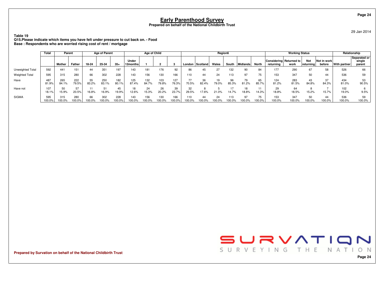29 Jan 2014

**Table 19 Q15.Please indicate which items you have felt under pressure to cut back on. - FoodBase : Respondents who are worried rising cost of rent / mortgage**

|                       | Total         | Parent        |              |              | <b>Age of Parent</b> |               |                   | Age of Child  |              |               |               |                   | Region6     |              |              |              |                                      | <b>Working Status</b> |                  |                       |               | Relationship                     |
|-----------------------|---------------|---------------|--------------|--------------|----------------------|---------------|-------------------|---------------|--------------|---------------|---------------|-------------------|-------------|--------------|--------------|--------------|--------------------------------------|-----------------------|------------------|-----------------------|---------------|----------------------------------|
|                       |               | Mother        | Father       | 18-24        | 25-34                | $35+$         | Under<br>12months |               |              |               |               | London   Scotland | Wales       | South        | Midlands     | North        | Considering Returned to<br>returning | work                  | Not<br>returning | Not in work<br>before | With partner  | Separated or<br>single<br>parent |
| Unweighted Total      | 592           | 441           | 151          | 44           | 351                  | 197           | 143               | 181           | 176          | 92            | 86            | 45                | 27          | 132          | 90           | 84           | 177                                  | 290                   | 67               | 58                    | 526           | 66                               |
| <b>Weighted Total</b> | 595           | 315           | 280          | 66           | 302                  | 228           | 143               | 156           | 130          | 166           | 110           | 44                | 24          | 113          | 97           | 75           | 153                                  | 347                   | 50               | 44                    | 536           | 59                               |
| Have                  | 487<br>81.9%  | 265<br>84.1%  | 222<br>79.5% | 55<br>83.2%  | 250<br>83.1%         | 182<br>80.1%  | 125<br>87.4%      | 132<br>84.7%  | 103<br>79.8% | 127<br>76.3%  | 70.5%         | 36<br>82.4%       | 19<br>79.0% | 96<br>85.3%  | 79<br>81.2%  | 65<br>85.7%  | 124<br>81.2%                         | 283<br>81.5%          | 43<br>84.8%      | 37<br>84.3%           | 434<br>81.0%  | 53<br>90.5%                      |
| Have not              | 107<br>18.1%  | 15.9%         | 57<br>20.5%  | 16.8%        | 51<br>16.9%          | 45<br>19.9%   | 12.6%             | 24<br>15.3%   | 26<br>20.2%  | 39<br>23.7%   | 32<br>29.5%   | 17.6%             | 21.0%       | 14.7%        | 18.8%        | 11<br>14.3%  | 29<br>18.8%                          | 64<br>18.5%           | 15.2%            | 15.7%                 | 102<br>19.0%  | 9.5%                             |
| <b>SIGMA</b>          | 595<br>100.0% | 315<br>100.0% | 280<br>00.0% | 66<br>100.0% | 302<br>100.0%        | 228<br>100.0% | 143<br>100.0%     | 156<br>100.0% | 130<br>00.0% | 166<br>100.0% | 110<br>100.0% | 44<br>00.0%       | 24<br>00.0% | 113<br>00.0% | 97<br>100.0% | 75<br>100.0% | 153<br>100.0%                        | 347<br>100.0%         | 50<br>100.0%     | 44<br>100.0%          | 536<br>100.0% | 59<br>100.0%                     |

**Prepared by Survation on behalf of the National Childbirth Trust**



**Page 24**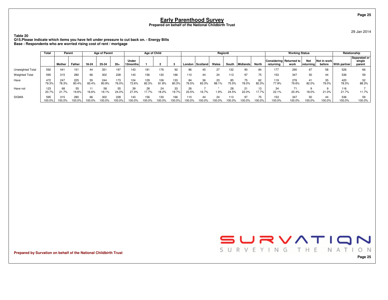**Table 20**

 **Q15.Please indicate which items you have felt under pressure to cut back on. - Energy BillsBase : Respondents who are worried rising cost of rent / mortgage**

|                       | Total         | Parent        |              |             | <b>Age of Parent</b> |               |                   | <b>Age of Child</b> |              |               |               |                   | Region6     |               |              |              |                                      | <b>Working Status</b> |                          |                       |               | Relationship                     |
|-----------------------|---------------|---------------|--------------|-------------|----------------------|---------------|-------------------|---------------------|--------------|---------------|---------------|-------------------|-------------|---------------|--------------|--------------|--------------------------------------|-----------------------|--------------------------|-----------------------|---------------|----------------------------------|
|                       |               | Mother        | Father       | 18-24       | 25-34                | $35+$         | Under<br>12months |                     |              |               |               | London   Scotland | Wales       | South         | Midlands     | North        | Considering Returned to<br>returning | work                  | <b>Not</b><br> returning | Not in work<br>before | With partner  | Separated or<br>single<br>parent |
| Unweighted Total      | 592           | 441           | 151          | 44          | 351                  | 197           | 143               | 181                 | 176          | 92            | 86            | 45                | 27          | 132           | 90           | 84           | 177                                  | 290                   | 67                       | 58                    | 526           | 66                               |
| <b>Weighted Total</b> | 595           | 315           | 280          | 66          | 302                  | 228           | 143               | 156                 | 130          | 166           | 110           | 44                | 24          | 113           | 97           | 75           | 153                                  | 347                   | 50                       | 44                    | 536           | 59                               |
| Have                  | 472<br>79.3%  | 247<br>78.3%  | 225<br>80.4% | 55<br>83.4% | 244<br>80.9%         | 173<br>76.0%  | 104<br>72.6%      | 129<br>82.3%        | 106<br>81.8% | 133<br>80.3%  | 84<br>76.5%   | 36<br>83.3%       | 23<br>98.1% | 85<br>75.5%   | 75<br>78.0%  | 62<br>82.3%  | 119<br>77.9%                         | 276<br>79.6%          | 41<br>82.0%              | 35<br>79.0%           | 420<br>78.3%  | 52<br>88.3%                      |
| Have not              | 123<br>20.7%  | 68<br>21.7%   | 55<br>19.6%  | 16.6%       | 58<br>19.1%          | 55<br>24.0%   | 39<br>27.4%       | 28<br>17.7%         | 24<br>18.2%  | 33<br>19.7%   | 26<br>23.5%   | 16.7%             | 1.9%        | 28<br>24.5%   | 21<br>22.0%  | 13<br>17.7%  | 34<br>22.1%                          | 20.4%                 | 18.0%                    | 21.0%                 | 116<br>21.7%  | 11.7%                            |
| <b>SIGMA</b>          | 595<br>100.0% | 315<br>100.0% | 280<br>00.0% | 66<br>00.0% | 302<br>00.0%         | 228<br>100.0% | 143<br>100.0%     | 156<br>100.0%       | 130<br>00.0% | 166<br>100.0% | 110<br>100.0% | 44<br>00.0%       | 24<br>00.0% | 113<br>100.0% | 97<br>100.0% | 75<br>100.0% | 153<br>100.0%                        | 347<br>100.0%         | 50<br>100.0%             | 44<br>100.0%          | 536<br>100.0% | 59<br>100.0%                     |

**Prepared by Survation on behalf of the National Childbirth Trust**



**Page 25**

29 Jan 2014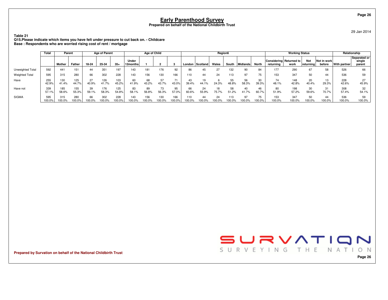**Table 21**

 **Q15.Please indicate which items you have felt under pressure to cut back on. - ChildcareBase : Respondents who are worried rising cost of rent / mortgage**

|                       | <b>Total</b>  | Parent        |               |             | <b>Age of Parent</b> |               |                   | Age of Child  |              |               |              |                 | Region6      |               |             |              |                                      | <b>Working Status</b> |                   |                       |               | Relationship                     |
|-----------------------|---------------|---------------|---------------|-------------|----------------------|---------------|-------------------|---------------|--------------|---------------|--------------|-----------------|--------------|---------------|-------------|--------------|--------------------------------------|-----------------------|-------------------|-----------------------|---------------|----------------------------------|
|                       |               | Mother        | Father        | 18-24       | 25-34                | $35+$         | Under<br>12months |               |              |               |              | London Scotland | Wales        | South         | Midlands    | <b>North</b> | Considering Returned to<br>returning | work                  | Not<br> returning | Not in work<br>before | With partner  | Separated or<br>single<br>parent |
| Unweighted Total      | 592           | 441           | 151           | 44          | 351                  | 197           | 143               | 181           | 176          | 92            | 86           | 45              |              | 132           | 90          | 84           | 177                                  | 290                   | 67                | 58                    | 526           | 66                               |
| <b>Weighted Total</b> | 595           | 315           | 280           | 66          | 302                  | 228           | 143               | 156           | 130          | 166           | 110          | 44              | 24           | 113           | 97          | 75           | 153                                  | 347                   | 50                | 44                    | 536           | 59                               |
| Have                  | 255<br>42.9%  | 130<br>41.4%  | 125<br>44.7%  | 27<br>40.9% | 126<br>41.7%         | 103<br>45.2%  | 60<br>41.9%       | 68<br>43.2%   | 57<br>43.7%  | 71<br>43.0%   | 43<br>39.4%  | 19<br>44.1%     | 24.3%        | 55<br>48.8%   | 56<br>58.3% | 30<br>39.3%  | 74<br>48.1%                          | 148<br>42.8%          | 20<br>40.4%       | 13<br>29.3%           | 228<br>42.6%  | 27<br>45.9%                      |
| Have not              | 339<br>57.1%  | 185<br>58.6%  | 155<br>55.3%  | 39<br>59.1% | 176<br>58.3%         | 125<br>54.8%  | 83<br>58.1%       | 89<br>56.8%   | 73<br>56.3%  | 95<br>57.0%   | 66<br>60.6%  | 24<br>55.9%     | 75.7%        | 58<br>51.2%   | 40<br>41.7% | 46<br>60.7%  | 80<br>51.9%                          | 198<br>57.2%          | 30<br>59.6%       | 31<br>70.7%           | 308<br>57.4%  | 32<br>54.1%                      |
| <b>SIGMA</b>          | 595<br>100.0% | 315<br>100.0% | 280<br>100.0% | 66<br>00.0% | 302<br>00.0%         | 228<br>100.0% | 143<br>100.0%     | 156<br>100.0% | 130<br>00.0% | 166<br>100.0% | 110<br>00.0% | 44<br>100.0%    | 24<br>100.0% | 113<br>100.0% | 97<br>00.0% | 75<br>00.0%  | 153<br>100.0%                        | 347<br>100.0%         | 50<br>100.0%      | 44<br>100.0%          | 536<br>100.0% | 59<br>100.0%                     |

**Prepared by Survation on behalf of the National Childbirth Trust**



29 Jan 2014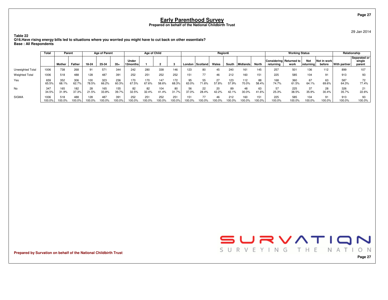29 Jan 2014

**Table 22 Q16.Have rising energy bills led to situations where you worried you might have to cut back on other essentials?Base : All Respondents**

|                       | Total          | Parent        |               |               | <b>Age of Parent</b> |               |                   | Age of Child    |               |               |              |                   | Region6     |               |               |                  |                                      | <b>Working Status</b> |                   |                       |               | Relationship                     |
|-----------------------|----------------|---------------|---------------|---------------|----------------------|---------------|-------------------|-----------------|---------------|---------------|--------------|-------------------|-------------|---------------|---------------|------------------|--------------------------------------|-----------------------|-------------------|-----------------------|---------------|----------------------------------|
|                       |                | Mother        | Father        | 18-24         | 25-34                | $35+$         | Under<br>12months |                 |               |               |              | London   Scotland | Wales       | South         | Midlands      | North            | Considering Returned to<br>returning | work                  | Not<br> returning | Not in work<br>before | With partner  | Separated or<br>single<br>parent |
| Unweighted Total      | 1006           | 738           | 268           | 9.            | 571                  | 344           | 242               | 280             | 338           | 146           | 123          | 80                | 45          | 240           | 161           | 145              | 257                                  | 501                   | 136               | 112                   | 899           | 107                              |
| <b>Weighted Total</b> | 1006           | 518           | 488           | 128           | 487                  | 391           | 252               | 251             | 252           | 252           | 151          | 77                |             | 212           | 160           | 151              | 225                                  | 585                   | 104               | 91                    | 913           | 93                               |
| Yes                   | 659<br>65.5%   | 352<br>68.1%  | 306<br>62.7%  | 100<br>78.5%  | 323<br>66.2%         | 236<br>60.3%  | 170<br>67.5%      | 170<br>67.6%    | 147<br>58.6%  | 172<br>68.3%  | 95<br>63.0%  | 55<br>71.6%       | 57.8%       | 123<br>57.9%  | 112<br>70.0%  | 88<br>58.4%      | 168<br>74.7%                         | 360<br>61.5%          | 67<br>64.1%       | 63<br>69.6%           | 587<br>64.3%  | 72<br>77.4%                      |
| No                    | 347<br>34.5%   | 165<br>31.9%  | 182<br>37.3%  | 28<br>21.5%   | 165<br>33.8%         | 155<br>39.7%  | 82<br>32.5%       | 82<br>32.4%     | 104<br>41.4%  | 80<br>31.7%   | 56<br>37.0%  | 22<br>28.4%       | 20<br>42.2% | 89<br>42.1%   | 48<br>30.0%   | 63<br>41.6%      | 57<br>25.3%                          | 225<br>38.5%          | 37<br>35.9%       | 28<br>30.4%           | 326<br>35.7%  | 21<br>22.6%                      |
| <b>SIGMA</b>          | 1006<br>100.0% | 518<br>100.0% | 488<br>100.0% | 128<br>100.0% | 487<br>$00.0\%$      | 391<br>100.0% | 252<br>100.0%     | 251<br>$00.0\%$ | 252<br>100.0% | 251<br>100.0% | 151<br>00.0% | 77<br>00.0%       | 00.0%       | 212<br>100.0% | 160<br>100.0% | 151<br>$'00.0\%$ | 225<br>100.0%                        | 585<br>100.0%         | 104<br>00.0%      | 91<br>00.0%           | 913<br>100.0% | 93<br>100.0%                     |

**Prepared by Survation on behalf of the National Childbirth Trust**



**Page 27**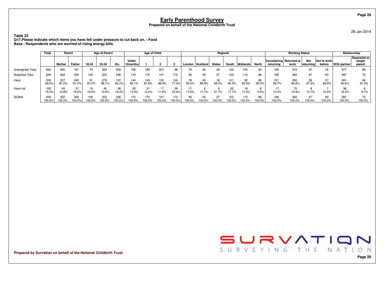29 Jan 2014

**Table 23 Q17.Please indicate which items you have felt under pressure to cut back on. - FoodBase : Respondents who are worried of rising energy bills**

|                       | Total         | Parent        |               | <b>Age of Parent</b> |              |               | Age of Child      |              |               |               |              | Region6     |              |               |              |             | <b>Working Status</b>                |               |                   | Relationship          |               |                                  |
|-----------------------|---------------|---------------|---------------|----------------------|--------------|---------------|-------------------|--------------|---------------|---------------|--------------|-------------|--------------|---------------|--------------|-------------|--------------------------------------|---------------|-------------------|-----------------------|---------------|----------------------------------|
|                       |               | Mother        | Father        | 18-24                | 25-34        | $35+$         | Under<br>12months |              |               |               | London       | Scotland    | Wales        | South         | Midlands     | North       | Considering Returned to<br>returning | work          | Not<br> returning | Not in work<br>before | With partner  | Separated or<br>single<br>parent |
| Unweighted Total      | 662           | 495           | 167           |                      | 383          | 209           | 168               | 189          | 207           | 98            | 79           | 56          | 29           | 149           | 104          | 92          | 189                                  | 310           | 87                | 76                    | 577           | 85                               |
| <b>Weighted Total</b> | 659           | 352           | 306           | 100                  | 323          | 236           | 170               | 170          | 147           | 172           | 95           | 55          | 27           | 123           | 112          | 88          | 168                                  | 360           | 67                | 63                    | 587           | 72                               |
| Have                  | 556<br>84.5%  | 307<br>87.2%  | 249<br>81.4%  | 81<br>81.0%          | 278<br>86.1% | 197<br>83.7%  | 144<br>85.1%      | 149<br>87.6% | 130<br>88.4%  | 133<br>77.4%  | 78<br>82.4%  | 49<br>88.9% | 68.3%        | 101<br>82.3%  | 92<br>82.6%  | 80<br>90.5% | 151<br>89.7%                         | 290<br>80.6%  | 58<br>87.3%       | 89.5%                 | 491<br>83.6%  | 66<br>91.3%                      |
| Have not              | 102<br>15.5%  | 12.8%         | 57<br>18.6%   | 19.0%                | 45<br>13.9%  | 38<br>16.3%   | 25<br>14.9%       | 21<br>12.4%  | 11.6%         | 39<br>22.6%   | 17.6%        | 1.1%        | 31           | 22<br>17.7%   | 19<br>17.4%  | 9.5%        | 10.3%                                | 70<br>19.4%   | 12.7%             | 10.5%                 | 96<br>16.4%   | 8.7%                             |
| <b>SIGMA</b>          | 659<br>100.0% | 352<br>100.0% | 306<br>100.0% | 100<br>100.0%        | 323<br>00.0% | 236<br>100.0% | 170<br>100.0%     | 170<br>00.0% | 147<br>100.0% | 172<br>100.0% | 95<br>100.0% | 55<br>00.0% | 27<br>100.0% | 123<br>100.0% | 112<br>00.0% | 88<br>00.0% | 168<br>100.0%                        | 360<br>100.0% | 67<br>100.0%      | 63<br>100.0%          | 587<br>100.0% | 72<br>100.0%                     |

**Prepared by Survation on behalf of the National Childbirth Trust**



**Page 28**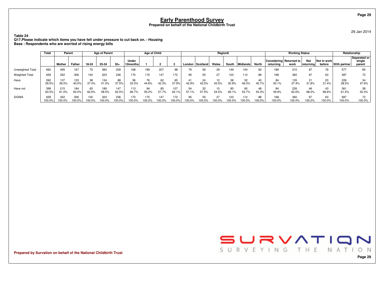**Table 24**

 **Q17.Please indicate which items you have felt under pressure to cut back on. - HousingBase : Respondents who are worried of rising energy bills**

|                       | Total         | Parent        |               | <b>Age of Parent</b> |              |               | <b>Age of Child</b> |               |              |               |              |                   | Region6 |               |               |              |                                      | <b>Working Status</b> |                         |                       | Relationship  |                                  |
|-----------------------|---------------|---------------|---------------|----------------------|--------------|---------------|---------------------|---------------|--------------|---------------|--------------|-------------------|---------|---------------|---------------|--------------|--------------------------------------|-----------------------|-------------------------|-----------------------|---------------|----------------------------------|
|                       |               | Mother        | Father        | 18-24                | 25-34        | $35+$         | Under<br>12months   |               |              |               |              | London   Scotland | Wales   | South         | Midlands      | North        | Considering Returned to<br>returnina | work                  | <b>Not</b><br>returning | Not in work<br>before | With partner  | Separated or<br>single<br>parent |
| Unweighted Total      | 662           | 495           | 167           | 70                   | 383          | 209           | 168                 | 189           | 207          | 98            | 79           | 56                | 29      | 149           | 104           | 92           | 189                                  | 310                   | 87                      | 76                    | 577           | 85                               |
| <b>Weighted Total</b> | 659           | 352           | 306           | 100                  | 323          | 236           | 170                 | 170           | 147          | 172           | 95           | 55                | 27      | 123           | 112           | 88           | 168                                  | 360                   | 67                      | 63                    | 587           | 72                               |
| Have                  | 260<br>39.5%  | 137<br>39.0%  | 123<br>40.0%  | 38<br>37.4%          | 134<br>41.5% | 88<br>37.5%   | 56<br>33.3%         | 76<br>44.8%   | 62<br>42.3%  | 65<br>37.9%   | 42.9%        | 24<br>42.5%       | 45.5%   | 38<br>30.9%   | 52<br>46.3%   | 40<br>45.7%  | 84<br>50.1%                          | 135<br>37.4%          | 21<br>31.8%             | 20<br>31.4%           | 226<br>38.5%  | 34<br>47.6%                      |
| Have not              | 399<br>60.5%  | 215<br>61.0%  | 184<br>60.0%  | 63<br>62.6%          | 189<br>58.5% | 147<br>62.5%  | 113<br>66.7%        | 94<br>55.2%   | 85<br>57.7%  | 107<br>62.1%  | 54<br>57.1%  | 32<br>57.5%       | 54.5%   | 85<br>69.1%   | 60<br>53.7%   | 48<br>54.3%  | 84<br>49.9%                          | 226<br>62.6%          | 46<br>68.2%             | 43<br>68.6%           | 361<br>61.5%  | 38<br>52.4%                      |
| <b>SIGMA</b>          | 659<br>100.0% | 352<br>100.0% | 306<br>100.0% | 100<br>00.0%         | 323<br>00.0% | 236<br>100.0% | 170<br>100.0%       | 170<br>100.0% | 147<br>00.0% | 172<br>100.0% | 95<br>100.0% | 55<br>00.0%       | 00.0%   | 123<br>100.0% | 112<br>100.0% | 88<br>100.0% | 168<br>100.0%                        | 360<br>100.0%         | 67<br>100.0%            | 63<br>100.0%          | 587<br>100.0% | 72<br>100.0%                     |

**Prepared by Survation on behalf of the National Childbirth Trust**





**Page 29**

**Page 29**

29 Jan 2014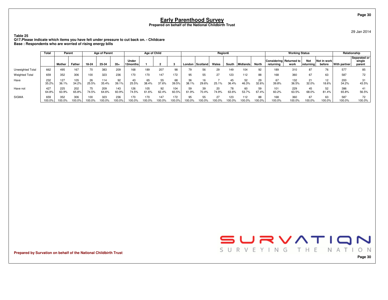29 Jan 2014

**Table 25 Q17.Please indicate which items you have felt under pressure to cut back on. - ChildcareBase : Respondents who are worried of rising energy bills**

|                       | Total         | Parent        |              |               | <b>Age of Parent</b> |               | Age of Child      |              |               |              |             |                 | Region6      |               |                 |              |               | <b>Working Status</b>           |                   |                       | Relationship  |                                  |
|-----------------------|---------------|---------------|--------------|---------------|----------------------|---------------|-------------------|--------------|---------------|--------------|-------------|-----------------|--------------|---------------|-----------------|--------------|---------------|---------------------------------|-------------------|-----------------------|---------------|----------------------------------|
|                       |               | Mother        | Father       | 18-24         | 25-34                | $35+$         | Under<br>12months |              |               |              |             | London Scotland | Wales        | South         | Midlands        | <b>North</b> | returnina     | Considering Returned to<br>work | Not<br> returning | Not in work<br>before | With partner  | Separated or<br>single<br>parent |
| Unweighted Total      | 662           | 495           | 167          | 70            | 383                  | 209           | 168               | 189          | 207           | 98           | 79          | 56              | 29           | 149           | 104             | 92           | 189           | 310                             | 87                | 76                    | 577           | 85                               |
| <b>Weighted Total</b> | 659           | 352           | 306          | 100           | 323                  | 236           | 170               | 170          | 147           | 172          | 95          | 55              | 27           | 123           | 112             | 88           | 168           | 360                             | 67                | 63                    | 587           | 72                               |
| Have                  | 232<br>35.2%  | 127<br>36.1%  | 105<br>34.2% | 26<br>25.5%   | 114<br>35.4%         | 92<br>39.1%   | 43<br>25.5%       | 65<br>38.4%  | 55<br>37.6%   | 68<br>39.5%  | 36<br>38.1% | 16<br>29.6%     | 25.1%        | 45<br>36.4%   | 52<br>46.3%     | 29<br>32.6%  | 67<br>39.8%   | 132<br>36.5%                    | 21<br>32.0%       | 12<br>18.6%           | 200<br>34.2%  | 31<br>43.5%                      |
| Have not              | 427<br>64.8%  | 225<br>63.9%  | 202<br>65.8% | 74.5%         | 209<br>64.6%         | 143<br>60.9%  | 126<br>74.5%      | 105<br>61.6% | 92<br>62.4%   | 104<br>60.5% | 59<br>61.9% | 39<br>70.4%     | 20<br>74.9%  | 78<br>63.6%   | 60<br>53.7%     | 59<br>67.4%  | 101<br>60.2%  | 229<br>63.5%                    | 45<br>68.0%       | 52<br>81.4%           | 386<br>65.8%  | 56.5%                            |
| <b>SIGMA</b>          | 659<br>100.0% | 352<br>100.0% | 306<br>00.0% | 100<br>100.0% | 323<br>00.0%         | 236<br>100.0% | 170<br>100.0%     | 170<br>00.0% | 147<br>100.0% | 172<br>00.0% | 95<br>00.0% | 55<br>00.0%     | 27<br>100.0% | 123<br>100.0% | 112<br>$00.0\%$ | 88<br>100.0% | 168<br>100.0% | 360<br>100.0%                   | 67<br>100.0%      | 63<br>100.0%          | 587<br>100.0% | 72<br>100.0%                     |

**Prepared by Survation on behalf of the National Childbirth Trust**



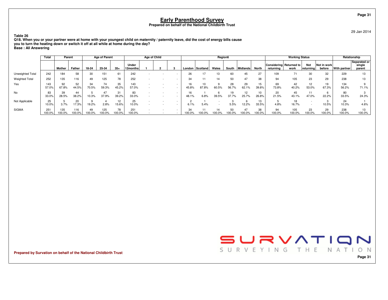29 Jan 2014

**Page 31**

**Table 26 Q18. When you or your partner were at home with your youngest child on maternity / paternity leave, did the cost of energy bills causeyou to turn the heating down or switch it off at all while at home during the day?Base : All Answering**

|                       | Total         | Parent        |              | <b>Age of Parent</b> |               | Age of Child |                   |  |  |                                                      |                 | Region6  |              |                     |              |             | <b>Working Status</b>                |               |                          | Relationship          |                      |                                  |
|-----------------------|---------------|---------------|--------------|----------------------|---------------|--------------|-------------------|--|--|------------------------------------------------------|-----------------|----------|--------------|---------------------|--------------|-------------|--------------------------------------|---------------|--------------------------|-----------------------|----------------------|----------------------------------|
|                       |               | <b>Mother</b> | Father       | 18-24                | 25-34         | $35+$        | Under<br>12months |  |  |                                                      | London          | Scotland | Wales        | South               | Midlands     | <b>Nort</b> | Considering Returned to<br>returning | work          | Not<br>returning         | Not in work<br>before | <b>With partner!</b> | Separated or<br>single<br>parent |
| Unweighted Total      | 242           | 184           | 58           | 30                   | 151           | 61           | 242               |  |  |                                                      | 26              |          | 13           | 60                  | 45           | 27          | 109                                  |               | 30                       | 32                    | 229                  |                                  |
| <b>Weighted Total</b> | 252           | 135           | 116          | 49                   | 125           | 78           | 252               |  |  |                                                      | 34              |          | 14           | 50                  | 47           | 38          | 94                                   | 105           | 23                       | 29                    | 238                  | 13                               |
| Yes                   | 143<br>57.0%  | 92<br>67.8%   | 52<br>44.5%  | 34<br>70.5%          | 74<br>59.3%   | 35<br>45.2%  | 143<br>57.0%      |  |  | $\overline{\phantom{0}}$<br>$\overline{\phantom{a}}$ | 16<br>45.8%     | 87.8%    | 60.5%        | 28<br>56.7%         | 29<br>62.1%  | 15<br>39.8% | 69<br>73.8%                          | 42<br>40.2%   | 12<br>53.0%              | 19<br>67.3%           | 134<br>56.2%         | 71.1%                            |
| No                    | 83<br>33.0%   | 39<br>28.5%   | 44<br>38.2%  | 10.3%                | 37.9%         | 31<br>39.2%  | 83<br>33.0%       |  |  | $\overline{\phantom{a}}$                             | 16<br>48.1%     | 6.8%     | 39.5%        | 37.7%               | 12<br>25.7%  | 10<br>26.8% | 20<br>21.5%                          | 45<br>43.1%   | 11<br>47.0%              | 22.2%                 | 80<br>33.5%          | 24.3%                            |
| Not Applicable        | 25<br>10.0%   | 3.7%          | 20<br>17.3%  | 19.2%                | 2.8%          | 12<br>15.6%  | 25<br>10.0%       |  |  | $\overline{\phantom{a}}$<br>$\overline{\phantom{a}}$ | 6.1%            | 5.4%     |              | 5.5%                | 12.2%        | 13<br>33.5% | 4.8%                                 | 16.7%         | $\overline{\phantom{a}}$ | 10.5%                 | 24<br>10.3%          | 4.6%                             |
| <b>SIGMA</b>          | 251<br>100.0% | 135<br>100.0% | 116<br>00.0% | 49<br>100.0%         | 125<br>100.0% | 78<br>00.0%  | 251<br>100.0%     |  |  |                                                      | $100.0^{\circ}$ | 00.0%    | 14<br>100.0% | 50<br>$100.0^\circ$ | 47<br>'00.0% | 38<br>00.0% | 94<br>100.0%                         | 105<br>100.0% | 23<br>100.0%             | 29<br>100.0%          | 238<br>100.0%        | 100.0%                           |

**Prepared by Survation on behalf of the National Childbirth Trust**